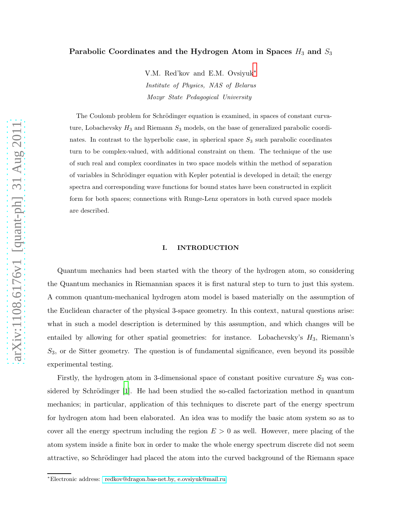## Parabolic Coordinates and the Hydrogen Atom in Spaces  $H_3$  and  $S_3$

V.M. Red'kov and E.M. Ovsiyuk[∗](#page-0-0) Institute of Physics, NAS of Belarus Mozyr State Pedagogical University

The Coulomb problem for Schrödinger equation is examined, in spaces of constant curvature, Lobachevsky  $H_3$  and Riemann  $S_3$  models, on the base of generalized parabolic coordinates. In contrast to the hyperbolic case, in spherical space  $S_3$  such parabolic coordinates turn to be complex-valued, with additional constraint on them. The technique of the use of such real and complex coordinates in two space models within the method of separation of variables in Schrödinger equation with Kepler potential is developed in detail; the energy spectra and corresponding wave functions for bound states have been constructed in explicit form for both spaces; connections with Runge-Lenz operators in both curved space models are described.

#### I. INTRODUCTION

Quantum mechanics had been started with the theory of the hydrogen atom, so considering the Quantum mechanics in Riemannian spaces it is first natural step to turn to just this system. A common quantum-mechanical hydrogen atom model is based materially on the assumption of the Euclidean character of the physical 3-space geometry. In this context, natural questions arise: what in such a model description is determined by this assumption, and which changes will be entailed by allowing for other spatial geometries: for instance. Lobachevsky's  $H_3$ , Riemann's  $S_3$ , or de Sitter geometry. The question is of fundamental significance, even beyond its possible experimental testing.

Firstly, the hydrogen atom in 3-dimensional space of constant positive curvature  $S_3$  was considered by Schrödinger  $[1]$ . He had been studied the so-called factorization method in quantum mechanics; in particular, application of this techniques to discrete part of the energy spectrum for hydrogen atom had been elaborated. An idea was to modify the basic atom system so as to cover all the energy spectrum including the region  $E > 0$  as well. However, mere placing of the atom system inside a finite box in order to make the whole energy spectrum discrete did not seem attractive, so Schrödinger had placed the atom into the curved background of the Riemann space

<span id="page-0-0"></span><sup>∗</sup>Electronic address: [redkov@dragon.bas-net.by, e.ovsiyuk@mail.ru](mailto: redkov@dragon.bas-net.by, e.ovsiyuk@mail.ru)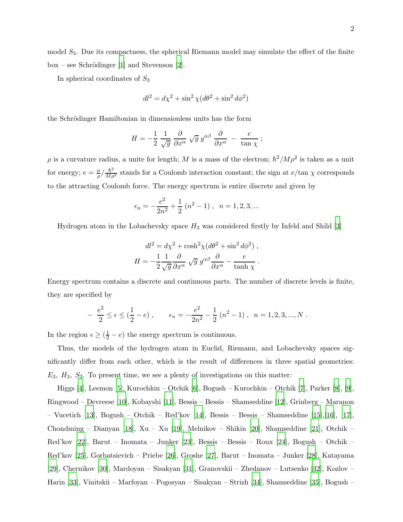model  $S_3$ . Due its compactness, the spherical Riemann model may simulate the effect of the finite  $box - see Schrödinger [1] and Stevenson [2].$  $box - see Schrödinger [1] and Stevenson [2].$  $box - see Schrödinger [1] and Stevenson [2].$  $box - see Schrödinger [1] and Stevenson [2].$  $box - see Schrödinger [1] and Stevenson [2].$ 

In spherical coordinates of  $S_3$ 

$$
dl^2 = d\chi^2 + \sin^2\chi (d\theta^2 + \sin^2 d\phi^2)
$$

the Schrödinger Hamiltonian in dimensionless units has the form

$$
H = -\frac{1}{2} \frac{1}{\sqrt{g}} \frac{\partial}{\partial x^{\alpha}} \sqrt{g} g^{\alpha \beta} \frac{\partial}{\partial x^{\alpha}} - \frac{e}{\tan \chi};
$$

 $\rho$  is a curvature radius, a unite for length; M is a mass of the electron;  $\hbar^2 / M \rho^2$  is taken as a unit for energy;  $e = \frac{\alpha}{a}$  $\frac{\alpha}{\rho}$  / $\frac{\hbar^2}{M\rho^2}$  stands for a Coulomb interaction constant; the sign at  $e/\tan \chi$  corresponds to the attracting Coulomb force. The energy spectrum is entire discrete and given by

$$
\epsilon_n = -\frac{e^2}{2n^2} + \frac{1}{2} (n^2 - 1), \quad n = 1, 2, 3, ...
$$

Hydrogen atom in the Lobachevsky space  $H_3$  was considered firstly by Infeld and Shild [\[3](#page-24-2)]

$$
dl^{2} = d\chi^{2} + \cosh^{2}\chi (d\theta^{2} + \sin^{2} d\phi^{2}),
$$
  

$$
H = -\frac{1}{2} \frac{1}{\sqrt{g}} \frac{\partial}{\partial x^{\alpha}} \sqrt{g} g^{\alpha\beta} \frac{\partial}{\partial x^{\alpha}} - \frac{e}{\tanh \chi}.
$$

Energy spectrum contains a discrete and continuous parts. The number of discrete levels is finite, they are specified by

$$
- \frac{e^2}{2} \le \epsilon \le (\frac{1}{2} - e) , \qquad \epsilon_n = -\frac{e^2}{2n^2} - \frac{1}{2} (n^2 - 1) , \quad n = 1, 2, 3, ..., N .
$$

In the region  $\epsilon \geq (\frac{1}{2} - e)$  the energy spectrum is continuous.

Thus, the models of the hydrogen atom in Euclid, Riemann, and Lobachevsky spaces significantly differ from each other, which is the result of differences in three spatial geometries:  $E_3$ ,  $H_3$ ,  $S_3$ . To present time, we see a plenty of investigations on this matter:

Higgs [\[4](#page-24-3)], Leemon [\[5](#page-24-4)], Kurochkin – Otchik [\[6](#page-24-5)], Bogush – Kurochkin – Otchik [\[7\]](#page-24-6), Parker [\[8](#page-24-7)], [\[9](#page-24-8)], Ringwood – Devreese [\[10](#page-24-9)], Kobayshi [\[11\]](#page-24-10), Bessis – Bessis – Shamseddine [\[12](#page-24-11)], Grinberg – Maranon – Vucetich [\[13\]](#page-24-12), Bogush – Otchik – Red'kov [\[14\]](#page-24-13), Bessis – Bessis – Shamseddine [15],[16], [17], Chondming – Dianyan [\[18\]](#page-25-0), Xu – Xu [\[19](#page-25-1)], Melnikov – Shikin [\[20\]](#page-25-2), Shamseddine [\[21](#page-25-3)], Otchik – Red'kov [\[22](#page-25-4)], Barut – Inomata – Junker [\[23](#page-25-5)], Bessis – Bessis – Roux [\[24\]](#page-25-6), Bogush – Otchik – Red'kov [\[25](#page-25-7)], Gorbatsievich – Priebe [\[26](#page-25-8)], Groshe [\[27](#page-25-9)], Barut – Inomata – Junker [\[28](#page-25-10)], Katayama [\[29\]](#page-25-11), Chernikov [\[30\]](#page-25-12), Mardoyan – Sisakyan [\[31](#page-25-13)], Granovskii – Zhedanov – Lutsenko [\[32](#page-25-14)], Kozlov – Harin [\[33](#page-25-15)], Vinitskii – Marfoyan – Pogosyan – Sisakyan – Strizh [\[34](#page-26-0)], Shamseddine [\[35](#page-26-1)], Bogush –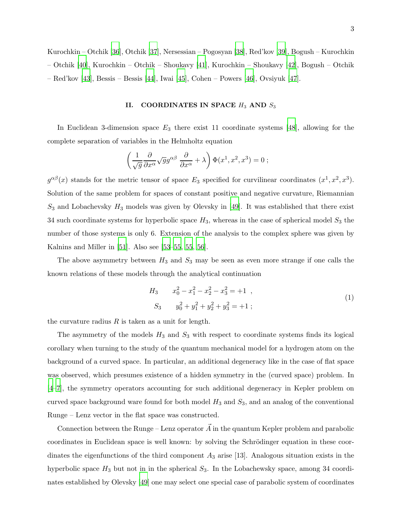Kurochkin – Otchik [\[36](#page-26-2)], Otchik [\[37](#page-26-3)], Nersessian – Pogosyan [\[38\]](#page-26-4), Red'kov [\[39](#page-26-5)], Bogush – Kurochkin – Otchik [\[40](#page-26-6)], Kurochkin – Otchik – Shoukavy [\[41](#page-26-7)], Kurochkin – Shoukavy [42], Bogush – Otchik – Red'kov [\[43](#page-26-8)], Bessis – Bessis [\[44](#page-26-9)], Iwai [\[45](#page-26-10)], Cohen – Powers [\[46\]](#page-26-11), Ovsiyuk [\[47](#page-26-12)].

### II. COORDINATES IN SPACE  $H_3$  AND  $S_3$

In Euclidean 3-dimension space  $E_3$  there exist 11 coordinate systems [\[48](#page-26-13)], allowing for the complete separation of variables in the Helmholtz equation

$$
\left(\frac{1}{\sqrt{g}}\frac{\partial}{\partial x^{\alpha}}\sqrt{g}g^{\alpha\beta}\frac{\partial}{\partial x^{\alpha}}+\lambda\right)\Phi(x^{1},x^{2},x^{3})=0 ;
$$

 $g^{\alpha\beta}(x)$  stands for the metric tensor of space  $E_3$  specified for curvilinear coordinates  $(x^1, x^2, x^3)$ . Solution of the same problem for spaces of constant positive and negative curvature, Riemannian  $S_3$  and Lobachevsky  $H_3$  models was given by Olevsky in [\[49\]](#page-26-14). It was established that there exist 34 such coordinate systems for hyperbolic space  $H_3$ , whereas in the case of spherical model  $S_3$  the number of those systems is only 6. Extension of the analysis to the complex sphere was given by Kalnins and Miller in [\[51\]](#page-27-0). Also see [\[53](#page-27-1)[–55](#page-27-2), [55,](#page-27-2) [56](#page-27-3)].

The above asymmetry between  $H_3$  and  $S_3$  may be seen as even more strange if one calls the known relations of these models through the analytical continuation

$$
H_3 \t x_0^2 - x_1^2 - x_2^2 - x_3^2 = +1 ,
$$
  
\n
$$
S_3 \t y_0^2 + y_1^2 + y_2^2 + y_3^2 = +1 ;
$$
\n(1)

the curvature radius  $R$  is taken as a unit for length.

The asymmetry of the models  $H_3$  and  $S_3$  with respect to coordinate systems finds its logical corollary when turning to the study of the quantum mechanical model for a hydrogen atom on the background of a curved space. In particular, an additional degeneracy like in the case of flat space was observed, which presumes existence of a hidden symmetry in the (curved space) problem. In [\[4](#page-24-3)[–7](#page-24-6)], the symmetry operators accounting for such additional degeneracy in Kepler problem on curved space background ware found for both model  $H_3$  and  $S_3$ , and an analog of the conventional Runge – Lenz vector in the flat space was constructed.

Connection between the Runge – Lenz operator  $\vec{A}$  in the quantum Kepler problem and parabolic coordinates in Euclidean space is well known: by solving the Schrödinger equation in these coordinates the eigenfunctions of the third component  $A_3$  arise [13]. Analogous situation exists in the hyperbolic space  $H_3$  but not in in the spherical  $S_3$ . In the Lobachewsky space, among 34 coordinates established by Olevsky [\[49](#page-26-14)] one may select one special case of parabolic system of coordinates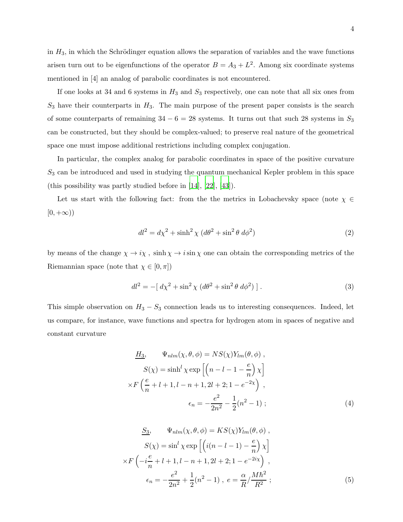in  $H_3$ , in which the Schrödinger equation allows the separation of variables and the wave functions arisen turn out to be eigenfunctions of the operator  $B = A_3 + L^2$ . Among six coordinate systems mentioned in [4] an analog of parabolic coordinates is not encountered.

If one looks at 34 and 6 systems in  $H_3$  and  $S_3$  respectively, one can note that all six ones from  $S_3$  have their counterparts in  $H_3$ . The main purpose of the present paper consists is the search of some counterparts of remaining  $34 - 6 = 28$  systems. It turns out that such 28 systems in  $S_3$ can be constructed, but they should be complex-valued; to preserve real nature of the geometrical space one must impose additional restrictions including complex conjugation.

In particular, the complex analog for parabolic coordinates in space of the positive curvature  $S_3$  can be introduced and used in studying the quantum mechanical Kepler problem in this space (this possibility was partly studied before in [\[14](#page-24-13)], [\[22](#page-25-4)], [\[43\]](#page-26-8)).

Let us start with the following fact: from the the metrics in Lobachevsky space (note  $\chi \in$  $[0, +\infty)$ 

$$
dl^2 = d\chi^2 + \sinh^2\chi \ (d\theta^2 + \sin^2\theta \ d\phi^2)
$$
 (2)

by means of the change  $\chi \to i \chi$ ,  $\sinh \chi \to i \sin \chi$  one can obtain the corresponding metrics of the Riemannian space (note that  $\chi \in [0, \pi]$ )

$$
dl^{2} = -[ d\chi^{2} + \sin^{2}\chi (d\theta^{2} + \sin^{2}\theta d\phi^{2}) ].
$$
 (3)

This simple observation on  $H_3 - S_3$  connection leads us to interesting consequences. Indeed, let us compare, for instance, wave functions and spectra for hydrogen atom in spaces of negative and constant curvature

$$
\underline{H_3}, \quad \Psi_{nlm}(\chi, \theta, \phi) = NS(\chi)Y_{lm}(\theta, \phi) ,
$$

$$
S(\chi) = \sinh^l \chi \exp\left[ \left( n - l - 1 - \frac{e}{n} \right) \chi \right]
$$

$$
\times F\left( \frac{e}{n} + l + 1, l - n + 1, 2l + 2; 1 - e^{-2\chi} \right) ,
$$

$$
\epsilon_n = -\frac{e^2}{2n^2} - \frac{1}{2}(n^2 - 1) ;
$$
(4)

$$
\frac{S_3}{N}, \quad \Psi_{nlm}(\chi, \theta, \phi) = KS(\chi)Y_{lm}(\theta, \phi),
$$

$$
S(\chi) = \sin^l \chi \exp\left[\left(i(n-l-1) - \frac{e}{n}\right)\chi\right]
$$

$$
\times F\left(-i\frac{e}{n} + l + 1, l - n + 1, 2l + 2; 1 - e^{-2i\chi}\right),
$$

$$
\epsilon_n = -\frac{e^2}{2n^2} + \frac{1}{2}(n^2 - 1), \quad e = \frac{\alpha}{R} / \frac{M\hbar^2}{R^2};
$$
(5)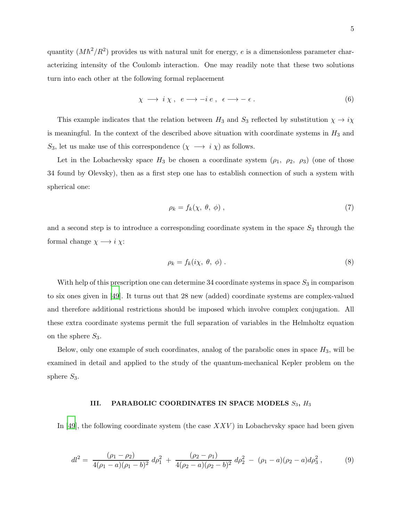$$
\chi \longrightarrow i \chi, e \longrightarrow -i e, \epsilon \longrightarrow -\epsilon.
$$
 (6)

This example indicates that the relation between  $H_3$  and  $S_3$  reflected by substitution  $\chi \to i\chi$ is meaningful. In the context of the described above situation with coordinate systems in  $H_3$  and S<sub>3</sub>, let us make use of this correspondence  $(\chi \rightarrow i \chi)$  as follows.

Let in the Lobachevsky space  $H_3$  be chosen a coordinate system  $(\rho_1, \rho_2, \rho_3)$  (one of those 34 found by Olevsky), then as a first step one has to establish connection of such a system with spherical one:

<span id="page-4-1"></span>
$$
\rho_k = f_k(\chi, \theta, \phi) \tag{7}
$$

and a second step is to introduce a corresponding coordinate system in the space  $S_3$  through the formal change  $\chi \longrightarrow i \chi$ :

<span id="page-4-2"></span>
$$
\rho_k = f_k(i\chi, \theta, \phi) \tag{8}
$$

With help of this prescription one can determine 34 coordinate systems in space  $S_3$  in comparison to six ones given in [\[49](#page-26-14)]. It turns out that 28 new (added) coordinate systems are complex-valued and therefore additional restrictions should be imposed which involve complex conjugation. All these extra coordinate systems permit the full separation of variables in the Helmholtz equation on the sphere  $S_3$ .

Below, only one example of such coordinates, analog of the parabolic ones in space  $H_3$ , will be examined in detail and applied to the study of the quantum-mechanical Kepler problem on the sphere  $S_3$ .

### III. PARABOLIC COORDINATES IN SPACE MODELS  $S_3$ ,  $H_3$

In [\[49](#page-26-14)], the following coordinate system (the case  $XXV$ ) in Lobachevsky space had been given

<span id="page-4-0"></span>
$$
dl^2 = \frac{(\rho_1 - \rho_2)}{4(\rho_1 - a)(\rho_1 - b)^2} d\rho_1^2 + \frac{(\rho_2 - \rho_1)}{4(\rho_2 - a)(\rho_2 - b)^2} d\rho_2^2 - (\rho_1 - a)(\rho_2 - a)d\rho_3^2, \tag{9}
$$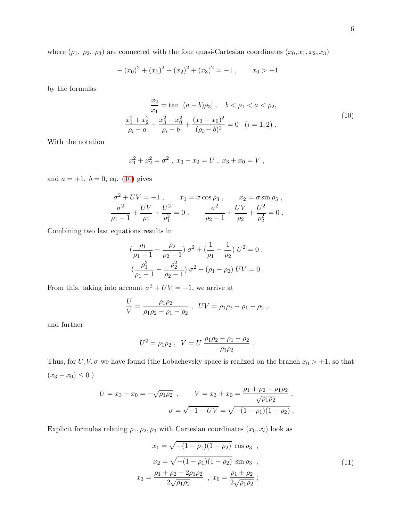where  $(\rho_1, \rho_2, \rho_3)$  are connected with the four quasi-Cartesian coordinates  $(x_0, x_1, x_2, x_3)$ 

$$
-(x0)2 + (x1)2 + (x2)2 + (x3)2 = -1, \t x0 > +1
$$

<span id="page-5-0"></span>by the formulas

$$
\frac{x_2}{x_1} = \tan\left[(a-b)\rho_3\right], \quad b < \rho_1 < a < \rho_2,
$$
  

$$
\frac{x_1^2 + x_2^2}{\rho_i - a} + \frac{x_3^2 - x_0^2}{\rho_i - b} + \frac{(x_3 - x_0)^2}{(\rho_i - b)^2} = 0 \quad (i = 1, 2).
$$
 (10)

With the notation

$$
x_1^2 + x_2^2 = \sigma^2 , \ x_3 - x_0 = U , \ x_3 + x_0 = V ,
$$

and  $a = +1, b = 0, \text{ eq.} (10)$  $a = +1, b = 0, \text{ eq.} (10)$  gives

$$
\sigma^2 + UV = -1 , \qquad x_1 = \sigma \cos \rho_3 , \qquad x_2 = \sigma \sin \rho_3 ,
$$
  

$$
\frac{\sigma^2}{\rho_1 - 1} + \frac{UV}{\rho_1} + \frac{U^2}{\rho_1^2} = 0 , \qquad \frac{\sigma^2}{\rho_2 - 1} + \frac{UV}{\rho_2} + \frac{U^2}{\rho_2^2} = 0 .
$$

Combining two last equations results in

$$
\left(\frac{\rho_1}{\rho_1 - 1} - \frac{\rho_2}{\rho_2 - 1}\right) \sigma^2 + \left(\frac{1}{\rho_1} - \frac{1}{\rho_2}\right) U^2 = 0,
$$
  

$$
\left(\frac{\rho_1^2}{\rho_1 - 1} - \frac{\rho_2^2}{\rho_2 - 1}\right) \sigma^2 + (\rho_1 - \rho_2) UV = 0.
$$

From this, taking into account  $\sigma^2 + UV = -1$ , we arrive at

$$
\frac{U}{V} = \frac{\rho_1 \rho_2}{\rho_1 \rho_2 - \rho_1 - \rho_2}, \ \ UV = \rho_1 \rho_2 - \rho_1 - \rho_2,
$$

and further

$$
U^2 = \rho_1 \rho_2 , \ \ V = U \frac{\rho_1 \rho_2 - \rho_1 - \rho_2}{\rho_1 \rho_2}
$$

Thus, for  $U, V, \sigma$  we have found (the Lobachevsky space is realized on the branch  $x_0 > +1$ , so that  $(x_3 - x_0) \le 0$ )

$$
U = x_3 - x_0 = -\sqrt{\rho_1 \rho_2} , \qquad V = x_3 + x_0 = \frac{\rho_1 + \rho_2 - \rho_1 \rho_2}{\sqrt{\rho_1 \rho_2}} ,
$$

$$
\sigma = \sqrt{-1 - UV} = \sqrt{-(1 - \rho_1)(1 - \rho_2)} .
$$

Explicit formulas relating  $\rho_1, \rho_2, \rho_3$  with Cartesian coordinates  $(x_0, x_l)$  look as

<span id="page-5-1"></span>
$$
x_1 = \sqrt{-(1 - \rho_1)(1 - \rho_2)} \cos \rho_3 ,
$$
  
\n
$$
x_2 = \sqrt{-(1 - \rho_1)(1 - \rho_2)} \sin \rho_3 ,
$$
  
\n
$$
x_3 = \frac{\rho_1 + \rho_2 - 2\rho_1\rho_2}{2\sqrt{\rho_1\rho_2}} , x_0 = \frac{\rho_1 + \rho_2}{2\sqrt{\rho_1\rho_2}} ;
$$
\n(11)

.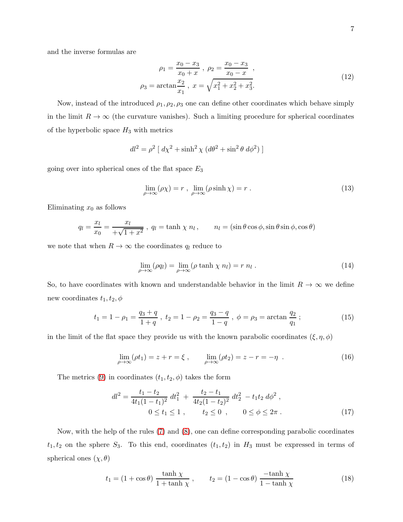and the inverse formulas are

$$
\rho_1 = \frac{x_0 - x_3}{x_0 + x}, \ \rho_2 = \frac{x_0 - x_3}{x_0 - x},
$$
  

$$
\rho_3 = \arctan \frac{x_2}{x_1}, \ x = \sqrt{x_1^2 + x_2^2 + x_3^2}.
$$
 (12)

Now, instead of the introduced  $\rho_1, \rho_2, \rho_3$  one can define other coordinates which behave simply in the limit  $R \to \infty$  (the curvature vanishes). Such a limiting procedure for spherical coordinates of the hyperbolic space  $H_3$  with metrics

$$
dl^{2} = \rho^{2} [ d\chi^{2} + \sinh^{2} \chi (d\theta^{2} + \sin^{2} \theta d\phi^{2}) ]
$$

going over into spherical ones of the flat space  $E_3$ 

$$
\lim_{\rho \to \infty} (\rho \chi) = r , \lim_{\rho \to \infty} (\rho \sinh \chi) = r . \tag{13}
$$

Eliminating  $x_0$  as follows

$$
q_l = \frac{x_l}{x_0} = \frac{x_l}{+\sqrt{1+x^2}}, \ q_l = \tanh \chi \ n_l, \qquad n_l = (\sin \theta \cos \phi, \sin \theta \sin \phi, \cos \theta)
$$

we note that when  $R \to \infty$  the coordinates  $q_l$  reduce to

$$
\lim_{\rho \to \infty} (\rho q_l) = \lim_{\rho \to \infty} (\rho \tanh \chi \eta_l) = r \eta_l . \tag{14}
$$

So, to have coordinates with known and understandable behavior in the limit  $R \to \infty$  we define new coordinates  $t_1, t_2, \phi$ 

$$
t_1 = 1 - \rho_1 = \frac{q_3 + q}{1 + q}
$$
,  $t_2 = 1 - \rho_2 = \frac{q_3 - q}{1 - q}$ ,  $\phi = \rho_3 = \arctan \frac{q_2}{q_1}$ ; (15)

in the limit of the flat space they provide us with the known parabolic coordinates  $(\xi, \eta, \phi)$ 

$$
\lim_{\rho \to \infty} (\rho t_1) = z + r = \xi , \qquad \lim_{\rho \to \infty} (\rho t_2) = z - r = -\eta . \tag{16}
$$

The metrics [\(9\)](#page-4-0) in coordinates  $(t_1, t_2, \phi)$  takes the form

$$
dl^{2} = \frac{t_{1} - t_{2}}{4t_{1}(1 - t_{1})^{2}} dt_{1}^{2} + \frac{t_{2} - t_{1}}{4t_{2}(1 - t_{2})^{2}} dt_{2}^{2} - t_{1}t_{2} d\phi^{2},
$$
  
\n
$$
0 \le t_{1} \le 1 , \qquad t_{2} \le 0 , \qquad 0 \le \phi \le 2\pi .
$$
 (17)

Now, with the help of the rules [\(7\)](#page-4-1) and [\(8\)](#page-4-2), one can define corresponding parabolic coordinates  $t_1, t_2$  on the sphere  $S_3$ . To this end, coordinates  $(t_1, t_2)$  in  $H_3$  must be expressed in terms of spherical ones  $(\chi, \theta)$ 

$$
t_1 = (1 + \cos \theta) \frac{\tanh \chi}{1 + \tanh \chi}, \qquad t_2 = (1 - \cos \theta) \frac{-\tanh \chi}{1 - \tanh \chi}
$$
(18)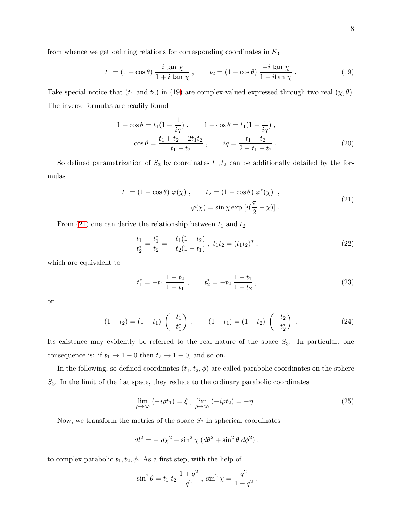<span id="page-7-0"></span>from whence we get defining relations for corresponding coordinates in  $S_3$ 

$$
t_1 = (1 + \cos \theta) \frac{i \tan \chi}{1 + i \tan \chi}, \qquad t_2 = (1 - \cos \theta) \frac{-i \tan \chi}{1 - i \tan \chi}.
$$
 (19)

Take special notice that  $(t_1 \text{ and } t_2)$  in [\(19\)](#page-7-0) are complex-valued expressed through two real  $(\chi, \theta)$ . The inverse formulas are readily found

$$
1 + \cos \theta = t_1 \left(1 + \frac{1}{iq}\right), \qquad 1 - \cos \theta = t_1 \left(1 - \frac{1}{iq}\right),
$$

$$
\cos \theta = \frac{t_1 + t_2 - 2t_1 t_2}{t_1 - t_2}, \qquad iq = \frac{t_1 - t_2}{2 - t_1 - t_2}.
$$
(20)

<span id="page-7-1"></span>So defined parametrization of  $S_3$  by coordinates  $t_1, t_2$  can be additionally detailed by the formulas

$$
t_1 = (1 + \cos \theta) \varphi(\chi) , \qquad t_2 = (1 - \cos \theta) \varphi^*(\chi) ,
$$
  

$$
\varphi(\chi) = \sin \chi \exp \left[ i(\frac{\pi}{2} - \chi) \right].
$$
 (21)

From [\(21\)](#page-7-1) one can derive the relationship between  $t_1$  and  $t_2$ 

$$
\frac{t_1}{t_2^*} = \frac{t_1^*}{t_2} = -\frac{t_1(1-t_2)}{t_2(1-t_1)}, \ t_1 t_2 = (t_1 t_2)^*, \tag{22}
$$

which are equivalent to

$$
t_1^* = -t_1 \frac{1-t_2}{1-t_1}, \qquad t_2^* = -t_2 \frac{1-t_1}{1-t_2}, \qquad (23)
$$

or

$$
(1-t_2) = (1-t_1) \left(-\frac{t_1}{t_1^*}\right) , \qquad (1-t_1) = (1-t_2) \left(-\frac{t_2}{t_2^*}\right) . \tag{24}
$$

Its existence may evidently be referred to the real nature of the space  $S_3$ . In particular, one consequence is: if  $t_1 \rightarrow 1-0$  then  $t_2 \rightarrow 1+0,$  and so on.

In the following, so defined coordinates  $(t_1, t_2, \phi)$  are called parabolic coordinates on the sphere  $S_3$ . In the limit of the flat space, they reduce to the ordinary parabolic coordinates

$$
\lim_{\rho \to \infty} (-i\rho t_1) = \xi , \lim_{\rho \to \infty} (-i\rho t_2) = -\eta . \tag{25}
$$

Now, we transform the metrics of the space  $S_3$  in spherical coordinates

$$
dl^2 = -\,d\chi^2 - \sin^2\chi\,\left(d\theta^2 + \sin^2\theta\,\,d\phi^2\right),
$$

to complex parabolic  $t_1, t_2, \phi$ . As a first step, with the help of

$$
\sin^2 \theta = t_1 t_2 \frac{1+q^2}{q^2}, \sin^2 \chi = \frac{q^2}{1+q^2},
$$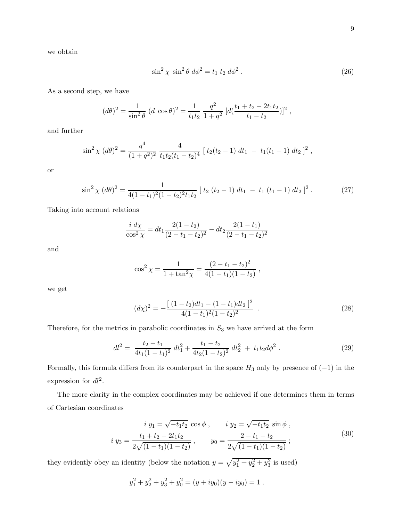we obtain

$$
\sin^2 \chi \sin^2 \theta \ d\phi^2 = t_1 t_2 d\phi^2 \ . \tag{26}
$$

As a second step, we have

$$
(d\theta)^2 = \frac{1}{\sin^2 \theta} (d \cos \theta)^2 = \frac{1}{t_1 t_2} \frac{q^2}{1 + q^2} [d(\frac{t_1 + t_2 - 2t_1 t_2}{t_1 - t_2})]^2,
$$

and further

$$
\sin^2 \chi \, (d\theta)^2 = \frac{q^4}{(1+q^2)^2} \, \frac{4}{t_1 t_2 (t_1-t_2)^4} \left[ \, t_2 (t_2-1) \, dt_1 \, - \, t_1 (t_1-1) \, dt_2 \, \right]^2 \, ,
$$

or

$$
\sin^2 \chi \, (d\theta)^2 = \frac{1}{4(1-t_1)^2(1-t_2)^2t_1t_2} \left[ t_2 \left( t_2 - 1 \right) dt_1 - t_1 \left( t_1 - 1 \right) dt_2 \right]^2. \tag{27}
$$

Taking into account relations

$$
\frac{i \, d\chi}{\cos^2 \chi} = dt_1 \frac{2(1-t_2)}{(2-t_1-t_2)^2} - dt_2 \frac{2(1-t_1)}{(2-t_1-t_2)^2}
$$

and

$$
\cos^2 \chi = \frac{1}{1 + \tan^2 \chi} = \frac{(2 - t_1 - t_2)^2}{4(1 - t_1)(1 - t_2)},
$$

we get

$$
(d\chi)^2 = -\frac{\left[ (1-t_2)dt_1 - (1-t_1)dt_2 \right]^2}{4(1-t_1)^2(1-t_2)^2} \tag{28}
$$

Therefore, for the metrics in parabolic coordinates in  $S_3$  we have arrived at the form

$$
dl^2 = \frac{t_2 - t_1}{4t_1(1 - t_1)^2} dt_1^2 + \frac{t_1 - t_2}{4t_2(1 - t_2)^2} dt_2^2 + t_1 t_2 d\phi^2.
$$
 (29)

Formally, this formula differs from its counterpart in the space  $H_3$  only by presence of  $(-1)$  in the expression for  $dl^2$ .

The more clarity in the complex coordinates may be achieved if one determines them in terms of Cartesian coordinates

$$
i y_1 = \sqrt{-t_1 t_2} \cos \phi , \qquad i y_2 = \sqrt{-t_1 t_2} \sin \phi ,
$$
  

$$
i y_3 = \frac{t_1 + t_2 - 2t_1 t_2}{2\sqrt{(1 - t_1)(1 - t_2)}}, \qquad y_0 = \frac{2 - t_1 - t_2}{2\sqrt{(1 - t_1)(1 - t_2)}} ;
$$
 (30)

<span id="page-8-0"></span>they evidently obey an identity (below the notation  $y = \sqrt{y_1^2 + y_2^2 + y_3^2}$  is used)

$$
y_1^2 + y_2^2 + y_3^2 + y_0^2 = (y + iy_0)(y - iy_0) = 1.
$$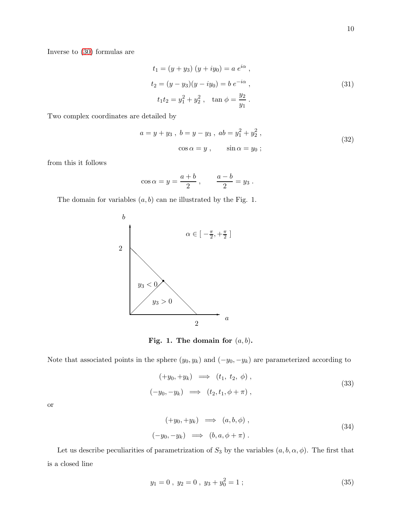Inverse to [\(30\)](#page-8-0) formulas are

$$
t_1 = (y + y_3) (y + iy_0) = a e^{i\alpha},
$$
  
\n
$$
t_2 = (y - y_3)(y - iy_0) = b e^{-i\alpha},
$$
  
\n
$$
t_1 t_2 = y_1^2 + y_2^2, \quad \tan \phi = \frac{y_2}{y_1}.
$$
\n(31)

Two complex coordinates are detailed by

$$
a = y + y_3, \ b = y - y_3, \ ab = y_1^2 + y_2^2,
$$
  

$$
\cos \alpha = y, \qquad \sin \alpha = y_0;
$$
 (32)

from this it follows

$$
\cos \alpha = y = \frac{a+b}{2} , \qquad \frac{a-b}{2} = y_3 .
$$

The domain for variables  $(a, b)$  can ne illustrated by the Fig. 1.



Fig. 1. The domain for  $(a, b)$ .

Note that associated points in the sphere  $(y_0, y_k)$  and  $(-y_0, -y_k)$  are parameterized according to

$$
(+y_0, +y_k) \implies (t_1, t_2, \phi),
$$
  

$$
(-y_0, -y_k) \implies (t_2, t_1, \phi + \pi),
$$
 (33)

or

$$
(+y_0, +y_k) \implies (a, b, \phi) ,(-y_0, -y_k) \implies (b, a, \phi + \pi).
$$
\n(34)

Let us describe peculiarities of parametrization of  $S_3$  by the variables  $(a, b, \alpha, \phi)$ . The first that is a closed line

$$
y_1 = 0, \ y_2 = 0, \ y_3 + y_0^2 = 1 \ ; \tag{35}
$$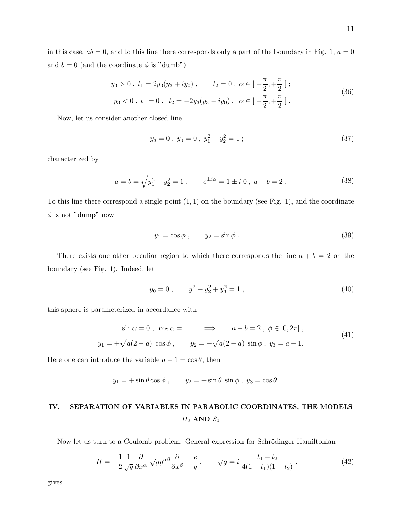in this case,  $ab = 0$ , and to this line there corresponds only a part of the boundary in Fig. 1,  $a = 0$ and  $b = 0$  (and the coordinate  $\phi$  is "dumb")

$$
y_3 > 0, t_1 = 2y_3(y_3 + iy_0), \t t_2 = 0, \alpha \in \left[-\frac{\pi}{2}, +\frac{\pi}{2}\right];
$$
  

$$
y_3 < 0, t_1 = 0, t_2 = -2y_3(y_3 - iy_0), \alpha \in \left[-\frac{\pi}{2}, +\frac{\pi}{2}\right].
$$
 (36)

Now, let us consider another closed line

$$
y_3 = 0, \ y_0 = 0, \ y_1^2 + y_2^2 = 1 \ ; \tag{37}
$$

characterized by

$$
a = b = \sqrt{y_1^2 + y_2^2} = 1 , \qquad e^{\pm i\alpha} = 1 \pm i \, 0 , \, a + b = 2 . \tag{38}
$$

To this line there correspond a single point  $(1, 1)$  on the boundary (see Fig. 1), and the coordinate  $\phi$  is not "dump" now

$$
y_1 = \cos \phi , \qquad y_2 = \sin \phi . \tag{39}
$$

There exists one other peculiar region to which there corresponds the line  $a + b = 2$  on the boundary (see Fig. 1). Indeed, let

$$
y_0 = 0, \qquad y_1^2 + y_2^2 + y_3^2 = 1,
$$
\n<sup>(40)</sup>

this sphere is parameterized in accordance with

$$
\sin \alpha = 0, \quad \cos \alpha = 1 \quad \implies \quad a + b = 2, \quad \phi \in [0, 2\pi],
$$
  

$$
y_1 = +\sqrt{a(2 - a)} \cos \phi, \qquad y_2 = +\sqrt{a(2 - a)} \sin \phi, \quad y_3 = a - 1.
$$
 (41)

Here one can introduce the variable  $a - 1 = \cos \theta$ , then

$$
y_1 = +\sin\theta\cos\phi
$$
,  $y_2 = +\sin\theta\sin\phi$ ,  $y_3 = \cos\theta$ .

# IV. SEPARATION OF VARIABLES IN PARABOLIC COORDINATES, THE MODELS  $H_3$  AND  $S_3$

Now let us turn to a Coulomb problem. General expression for Schrödinger Hamiltonian

$$
H = -\frac{1}{2} \frac{1}{\sqrt{g}} \frac{\partial}{\partial x^{\alpha}} \sqrt{g} g^{\alpha \beta} \frac{\partial}{\partial x^{\beta}} - \frac{e}{q} , \qquad \sqrt{g} = i \frac{t_1 - t_2}{4(1 - t_1)(1 - t_2)} , \qquad (42)
$$

gives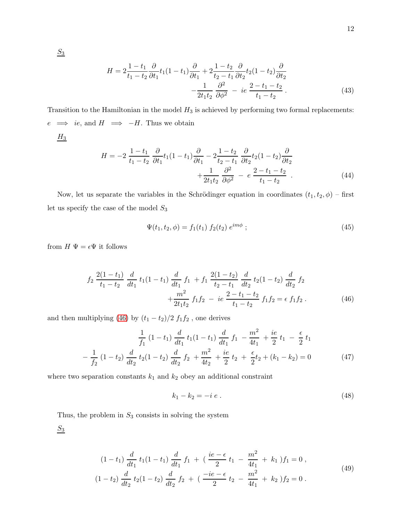$$
H = 2\frac{1 - t_1}{t_1 - t_2} \frac{\partial}{\partial t_1} t_1 (1 - t_1) \frac{\partial}{\partial t_1} + 2\frac{1 - t_2}{t_2 - t_1} \frac{\partial}{\partial t_2} t_2 (1 - t_2) \frac{\partial}{\partial t_2} -\frac{1}{2t_1 t_2} \frac{\partial^2}{\partial \phi^2} - ie \frac{2 - t_1 - t_2}{t_1 - t_2}.
$$
\n(43)

Transition to the Hamiltonian in the model  $H_3$  is achieved by performing two formal replacements:  $e$   $\implies$  *ie*, and  $H$   $\implies$  -*H*. Thus we obtain

$$
\underline{H_3}
$$

$$
H = -2 \frac{1 - t_1}{t_1 - t_2} \frac{\partial}{\partial t_1} t_1 (1 - t_1) \frac{\partial}{\partial t_1} - 2 \frac{1 - t_2}{t_2 - t_1} \frac{\partial}{\partial t_2} t_2 (1 - t_2) \frac{\partial}{\partial t_2} + \frac{1}{2t_1 t_2} \frac{\partial^2}{\partial \phi^2} - e \frac{2 - t_1 - t_2}{t_1 - t_2} . \tag{44}
$$

Now, let us separate the variables in the Schrödinger equation in coordinates  $(t_1, t_2, \phi)$  – first let us specify the case of the model  $S_3$ 

$$
\Psi(t_1, t_2, \phi) = f_1(t_1) f_2(t_2) e^{im\phi} ; \qquad (45)
$$

from  $H$   $\Psi = \epsilon \Psi$  it follows

<span id="page-11-0"></span>
$$
f_2 \frac{2(1-t_1)}{t_1-t_2} \frac{d}{dt_1} t_1(1-t_1) \frac{d}{dt_1} f_1 + f_1 \frac{2(1-t_2)}{t_2-t_1} \frac{d}{dt_2} t_2(1-t_2) \frac{d}{dt_2} f_2
$$
  
 
$$
+ \frac{m^2}{2t_1t_2} f_1 f_2 - ie \frac{2-t_1-t_2}{t_1-t_2} f_1 f_2 = \epsilon f_1 f_2.
$$
 (46)

and then multiplying [\(46\)](#page-11-0) by  $\left(t_1-t_2\right)/2$   $f_1f_2$  , one derives

$$
\frac{1}{f_1} (1 - t_1) \frac{d}{dt_1} t_1 (1 - t_1) \frac{d}{dt_1} f_1 - \frac{m^2}{4t_1} + \frac{ie}{2} t_1 - \frac{\epsilon}{2} t_1
$$

$$
-\frac{1}{f_2} (1 - t_2) \frac{d}{dt_2} t_2 (1 - t_2) \frac{d}{dt_2} f_2 + \frac{m^2}{4t_2} + \frac{ie}{2} t_2 + \frac{\epsilon}{2} t_2 + (k_1 - k_2) = 0 \tag{47}
$$

where two separation constants  $k_1$  and  $k_2$  obey an additional constraint

$$
k_1 - k_2 = -i e \tag{48}
$$

Thus, the problem in  $S_3$  consists in solving the system

<span id="page-11-1"></span> $S_3$ 

$$
(1-t_1)\frac{d}{dt_1}t_1(1-t_1)\frac{d}{dt_1}f_1 + (\frac{ie-\epsilon}{2}t_1 - \frac{m^2}{4t_1} + k_1)f_1 = 0,
$$
  

$$
(1-t_2)\frac{d}{dt_2}t_2(1-t_2)\frac{d}{dt_2}f_2 + (\frac{-ie-\epsilon}{2}t_2 - \frac{m^2}{4t_1} + k_2)f_2 = 0.
$$
 (49)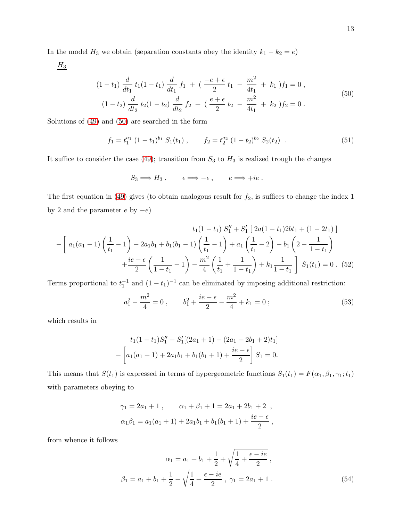In the model  $H_3$  we obtain (separation constants obey the identity  $k_1 - k_2 = e$ )

<span id="page-12-0"></span> $H_3$ 

$$
(1-t_1)\frac{d}{dt_1}t_1(1-t_1)\frac{d}{dt_1}f_1 + (\frac{-e+\epsilon}{2}t_1 - \frac{m^2}{4t_1} + k_1)f_1 = 0,
$$
  

$$
(1-t_2)\frac{d}{dt_2}t_2(1-t_2)\frac{d}{dt_2}f_2 + (\frac{e+\epsilon}{2}t_2 - \frac{m^2}{4t_1} + k_2)f_2 = 0.
$$
 (50)

Solutions of [\(49\)](#page-11-1) and [\(50\)](#page-12-0) are searched in the form

$$
f_1 = t_1^{a_1} (1 - t_1)^{b_1} S_1(t_1), \qquad f_2 = t_2^{a_2} (1 - t_2)^{b_2} S_2(t_2) . \qquad (51)
$$

It suffice to consider the case [\(49\)](#page-11-1); transition from  $S_3$  to  $H_3$  is realized trough the changes

$$
S_3 \Longrightarrow H_3 , \qquad \epsilon \Longrightarrow -\epsilon , \qquad e \Longrightarrow +ie .
$$

The first equation in [\(49\)](#page-11-1) gives (to obtain analogous result for  $f_2$ , is suffices to change the index 1 by 2 and the parameter  $e$  by  $-e)$ 

$$
t_{1}(1-t_{1}) S_{1}'' + S_{1}' [2a(1-t_{1})2bt_{1} + (1-2t_{1})]
$$

$$
- \left[ a_{1}(a_{1}-1) \left( \frac{1}{t_{1}}-1 \right) - 2a_{1}b_{1} + b_{1}(b_{1}-1) \left( \frac{1}{t_{1}}-1 \right) + a_{1} \left( \frac{1}{t_{1}}-2 \right) - b_{1} \left( 2 - \frac{1}{1-t_{1}} \right) + \frac{ie - \epsilon}{2} \left( \frac{1}{1-t_{1}}-1 \right) - \frac{m^{2}}{4} \left( \frac{1}{t_{1}} + \frac{1}{1-t_{1}} \right) + k_{1} \frac{1}{1-t_{1}} \right] S_{1}(t_{1}) = 0. (52)
$$

Terms proportional to  $t_1^{-1}$  and  $(1-t_1)^{-1}$  can be eliminated by imposing additional restriction:

$$
a_1^2 - \frac{m^2}{4} = 0 , \qquad b_1^2 + \frac{ie - \epsilon}{2} - \frac{m^2}{4} + k_1 = 0 ; \tag{53}
$$

which results in

$$
t_1(1-t_1)S_1'' + S_1'[(2a_1 + 1) - (2a_1 + 2b_1 + 2)t_1]
$$

$$
-\left[a_1(a_1 + 1) + 2a_1b_1 + b_1(b_1 + 1) + \frac{ie - \epsilon}{2}\right]S_1 = 0.
$$

This means that  $S(t_1)$  is expressed in terms of hypergeometric functions  $S_1(t_1) = F(\alpha_1, \beta_1, \gamma_1; t_1)$ with parameters obeying to

$$
\gamma_1 = 2a_1 + 1
$$
,  $\alpha_1 + \beta_1 + 1 = 2a_1 + 2b_1 + 2$ ,  
\n $\alpha_1\beta_1 = a_1(a_1 + 1) + 2a_1b_1 + b_1(b_1 + 1) + \frac{ie - \epsilon}{2}$ ,

from whence it follows

$$
\alpha_1 = a_1 + b_1 + \frac{1}{2} + \sqrt{\frac{1}{4} + \frac{\epsilon - ie}{2}} ,
$$
  

$$
\beta_1 = a_1 + b_1 + \frac{1}{2} - \sqrt{\frac{1}{4} + \frac{\epsilon - ie}{2}} , \ \gamma_1 = 2a_1 + 1 .
$$
 (54)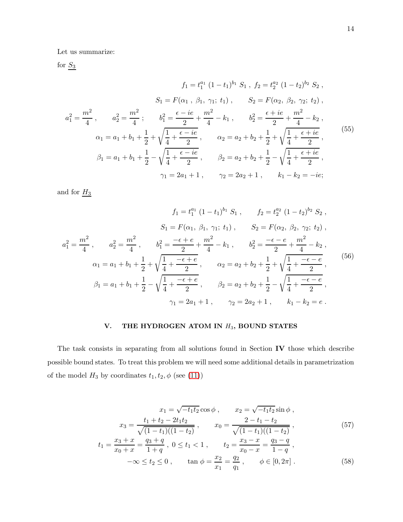Let us summarize:

for  $S_3$ 

$$
f_1 = t_1^{a_1} (1 - t_1)^{b_1} S_1, f_2 = t_2^{a_2} (1 - t_2)^{b_2} S_2,
$$
  
\n
$$
S_1 = F(\alpha_1, \beta_1, \gamma_1; t_1), S_2 = F(\alpha_2, \beta_2, \gamma_2; t_2),
$$
  
\n
$$
a_1^2 = \frac{m^2}{4}, a_2^2 = \frac{m^2}{4}; b_1^2 = \frac{\epsilon - ie}{2} + \frac{m^2}{4} - k_1, b_2^2 = \frac{\epsilon + ie}{2} + \frac{m^2}{4} - k_2,
$$
  
\n
$$
\alpha_1 = a_1 + b_1 + \frac{1}{2} + \sqrt{\frac{1}{4} + \frac{\epsilon - ie}{2}}, \alpha_2 = a_2 + b_2 + \frac{1}{2} + \sqrt{\frac{1}{4} + \frac{\epsilon + ie}{2}},
$$
  
\n
$$
\beta_1 = a_1 + b_1 + \frac{1}{2} - \sqrt{\frac{1}{4} + \frac{\epsilon - ie}{2}}, \beta_2 = a_2 + b_2 + \frac{1}{2} - \sqrt{\frac{1}{4} + \frac{\epsilon + ie}{2}},
$$
  
\n
$$
\gamma_1 = 2a_1 + 1, \gamma_2 = 2a_2 + 1, k_1 - k_2 = -ie;
$$
  
\n(55)

and for  $\underline{H_3}$ 

$$
f_1 = t_1^{a_1} (1 - t_1)^{b_1} S_1, \t f_2 = t_2^{a_2} (1 - t_2)^{b_2} S_2,
$$
  
\n
$$
S_1 = F(\alpha_1, \beta_1, \gamma_1; t_1), \t S_2 = F(\alpha_2, \beta_2, \gamma_2; t_2),
$$
  
\n
$$
a_1^2 = \frac{m^2}{4}, \t a_2^2 = \frac{m^2}{4}, \t b_1^2 = \frac{-\epsilon + e}{2} + \frac{m^2}{4} - k_1, \t b_2^2 = \frac{-\epsilon - e}{2} + \frac{m^2}{4} - k_2,
$$
  
\n
$$
\alpha_1 = a_1 + b_1 + \frac{1}{2} + \sqrt{\frac{1}{4} + \frac{-\epsilon + e}{2}}, \t \alpha_2 = a_2 + b_2 + \frac{1}{2} + \sqrt{\frac{1}{4} + \frac{-\epsilon - e}{2}},
$$
  
\n
$$
\beta_1 = a_1 + b_1 + \frac{1}{2} - \sqrt{\frac{1}{4} + \frac{-\epsilon + e}{2}}, \t \beta_2 = a_2 + b_2 + \frac{1}{2} - \sqrt{\frac{1}{4} + \frac{-\epsilon - e}{2}},
$$
  
\n
$$
\gamma_1 = 2a_1 + 1, \t \gamma_2 = 2a_2 + 1, \t k_1 - k_2 = e.
$$
  
\n(56)

### V. THE HYDROGEN ATOM IN  $H_3$ , BOUND STATES

The task consists in separating from all solutions found in Section IV those which describe possible bound states. To treat this problem we will need some additional details in parametrization of the model  $H_3$  by coordinates  $t_1, t_2, \phi$  (see [\(11\)](#page-5-1))

$$
x_1 = \sqrt{-t_1 t_2} \cos \phi , \qquad x_2 = \sqrt{-t_1 t_2} \sin \phi ,
$$
  
\n
$$
x_3 = \frac{t_1 + t_2 - 2t_1 t_2}{\sqrt{(1 - t_1)((1 - t_2))}}, \qquad x_0 = \frac{2 - t_1 - t_2}{\sqrt{(1 - t_1)((1 - t_2))}},
$$
  
\n
$$
t_1 = \frac{x_3 + x}{x_0 + x} = \frac{q_3 + q}{1 + q}, \ 0 \le t_1 < 1 , \qquad t_2 = \frac{x_3 - x}{x_0 - x} = \frac{q_3 - q}{1 - q},
$$
\n
$$
(57)
$$

$$
-\infty \le t_2 \le 0, \qquad \tan \phi = \frac{x_2}{x_1} = \frac{q_2}{q_1}, \qquad \phi \in [0, 2\pi]. \tag{58}
$$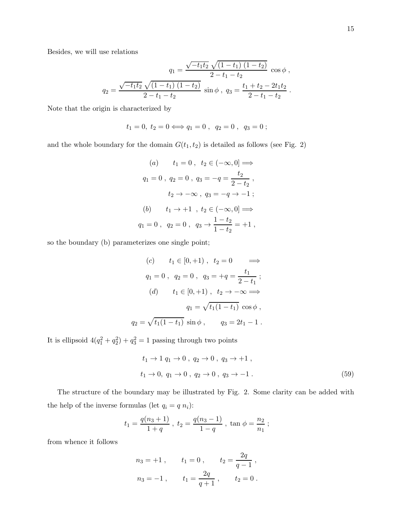Besides, we will use relations

$$
q_1 = \frac{\sqrt{-t_1 t_2} \sqrt{(1 - t_1) (1 - t_2)}}{2 - t_1 - t_2} \cos \phi,
$$
  

$$
q_2 = \frac{\sqrt{-t_1 t_2} \sqrt{(1 - t_1) (1 - t_2)}}{2 - t_1 - t_2} \sin \phi, \ q_3 = \frac{t_1 + t_2 - 2t_1 t_2}{2 - t_1 - t_2}.
$$

Note that the origin is characterized by

$$
t_1 = 0, t_2 = 0 \Longleftrightarrow q_1 = 0, q_2 = 0, q_3 = 0;
$$

and the whole boundary for the domain  $G(t_{1},t_{2})$  is detailed as follows (see Fig. 2)

(a) 
$$
t_1 = 0
$$
,  $t_2 \in (-\infty, 0] \implies$   
\n $q_1 = 0$ ,  $q_2 = 0$ ,  $q_3 = -q = \frac{t_2}{2 - t_2}$ ,  
\n $t_2 \to -\infty$ ,  $q_3 = -q \to -1$ ;  
\n(b)  $t_1 \to +1$ ,  $t_2 \in (-\infty, 0] \implies$   
\n $q_1 = 0$ ,  $q_2 = 0$ ,  $q_3 \to \frac{1 - t_2}{1 - t_2} = +1$ ,

so the boundary (b) parameterizes one single point;

(c) 
$$
t_1 \in [0, +1)
$$
,  $t_2 = 0 \implies$   
\n $q_1 = 0$ ,  $q_2 = 0$ ,  $q_3 = +q = \frac{t_1}{2 - t_1}$ ;  
\n(d)  $t_1 \in [0, +1)$ ,  $t_2 \to -\infty \implies$   
\n $q_1 = \sqrt{t_1(1 - t_1)} \cos \phi$ ,  
\n $q_2 = \sqrt{t_1(1 - t_1)} \sin \phi$ ,  $q_3 = 2t_1 - 1$ .

It is ellipsoid  $4(q_1^2+q_2^2)+q_3^2=1$  passing through two points

$$
t_1 \to 1 \, q_1 \to 0 \, , \, q_2 \to 0 \, , \, q_3 \to +1 \, ,
$$
  
\n $t_1 \to 0, \, q_1 \to 0 \, , \, q_2 \to 0 \, , \, q_3 \to -1 \, .$  (59)

The structure of the boundary may be illustrated by Fig. 2. Some clarity can be added with the help of the inverse formulas (let  $q_i = q n_i$ ):

$$
t_1 = \frac{q(n_3+1)}{1+q}
$$
,  $t_2 = \frac{q(n_3-1)}{1-q}$ ,  $\tan \phi = \frac{n_2}{n_1}$ ;

from whence it follows

$$
n_3 = +1
$$
,  $t_1 = 0$ ,  $t_2 = \frac{2q}{q-1}$ ,  
\n $n_3 = -1$ ,  $t_1 = \frac{2q}{q+1}$ ,  $t_2 = 0$ .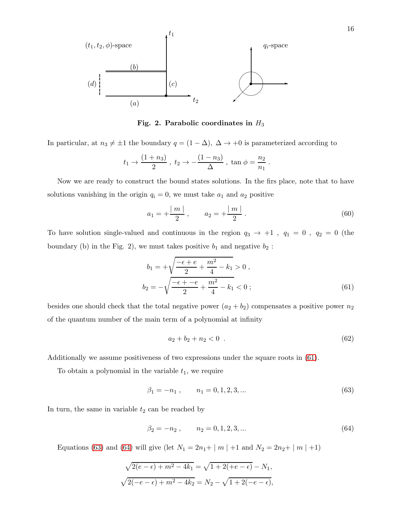

Fig. 2. Parabolic coordinates in  $H_3$ 

In particular, at  $n_3 \neq \pm 1$  the boundary  $q = (1 - \Delta)$ ,  $\Delta \rightarrow +0$  is parameterized according to

$$
t_1 \to \frac{(1+n_3)}{2}
$$
,  $t_2 \to -\frac{(1-n_3)}{\Delta}$ ,  $\tan \phi = \frac{n_2}{n_1}$ .

Now we are ready to construct the bound states solutions. In the firs place, note that to have solutions vanishing in the origin  $q_i = 0$ , we must take  $a_1$  and  $a_2$  positive

$$
a_1 = +\frac{|m|}{2}, \qquad a_2 = +\frac{|m|}{2}.
$$
 (60)

To have solution single-valued and continuous in the region  $q_3 \to +1$ ,  $q_1 = 0$ ,  $q_2 = 0$  (the boundary (b) in the Fig. 2), we must takes positive  $b_1$  and negative  $b_2$ :

<span id="page-15-0"></span>
$$
b_1 = +\sqrt{\frac{-\epsilon + e}{2} + \frac{m^2}{4} - k_1} > 0,
$$
  

$$
b_2 = -\sqrt{\frac{-\epsilon + -e}{2} + \frac{m^2}{4} - k_1} < 0;
$$
 (61)

besides one should check that the total negative power  $(a_2 + b_2)$  compensates a positive power  $n_2$ of the quantum number of the main term of a polynomial at infinity

<span id="page-15-3"></span>
$$
a_2 + b_2 + n_2 < 0 \tag{62}
$$

Additionally we assume positiveness of two expressions under the square roots in [\(61\)](#page-15-0).

To obtain a polynomial in the variable  $t_1$ , we require

<span id="page-15-1"></span>
$$
\beta_1 = -n_1 \,, \qquad n_1 = 0, 1, 2, 3, \dots \tag{63}
$$

In turn, the same in variable  $t_2$  can be reached by

<span id="page-15-2"></span>
$$
\beta_2 = -n_2 , \qquad n_2 = 0, 1, 2, 3, \dots \tag{64}
$$

Equations [\(63\)](#page-15-1) and [\(64\)](#page-15-2) will give (let  $N_1 = 2n_1 + |m| + 1$  and  $N_2 = 2n_2 + |m| + 1$ )

$$
\sqrt{2(e-\epsilon) + m^2 - 4k_1} = \sqrt{1 + 2(+e-\epsilon)} - N_1,
$$
  

$$
\sqrt{2(-e-\epsilon) + m^2 - 4k_2} = N_2 - \sqrt{1 + 2(-e-\epsilon)},
$$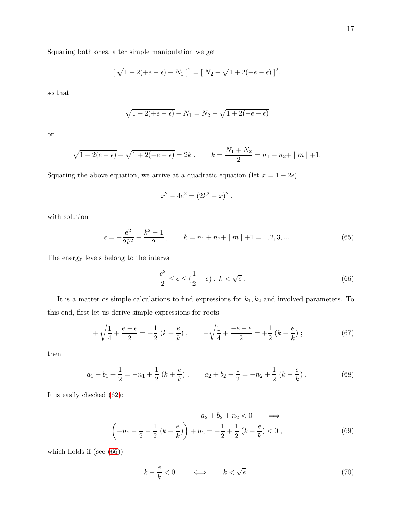Squaring both ones, after simple manipulation we get

$$
[\sqrt{1+2(+e-\epsilon)}-N_1]^2 = [N_2 - \sqrt{1+2(-e-\epsilon)}]^2,
$$

so that

$$
\sqrt{1 + 2(+e - \epsilon)} - N_1 = N_2 - \sqrt{1 + 2(-e - \epsilon)}
$$

or

$$
\sqrt{1+2(e-\epsilon)} + \sqrt{1+2(-e-\epsilon)} = 2k
$$
,  $k = \frac{N_1 + N_2}{2} = n_1 + n_2 + |m| + 1$ .

Squaring the above equation, we arrive at a quadratic equation (let  $x = 1 - 2\epsilon$ )

$$
x^2 - 4e^2 = (2k^2 - x)^2,
$$

with solution

$$
\epsilon = -\frac{e^2}{2k^2} - \frac{k^2 - 1}{2}, \qquad k = n_1 + n_2 + |m| + 1 = 1, 2, 3, ... \tag{65}
$$

The energy levels belong to the interval

<span id="page-16-0"></span>
$$
-\frac{e^2}{2} \le \epsilon \le (\frac{1}{2} - e) , k < \sqrt{e} . \tag{66}
$$

It is a matter os simple calculations to find expressions for  $k_1, k_2$  and involved parameters. To this end, first let us derive simple expressions for roots

$$
+\sqrt{\frac{1}{4} + \frac{e - \epsilon}{2}} = +\frac{1}{2} \left( k + \frac{e}{k} \right), \qquad +\sqrt{\frac{1}{4} + \frac{-e - \epsilon}{2}} = +\frac{1}{2} \left( k - \frac{e}{k} \right); \tag{67}
$$

then

$$
a_1 + b_1 + \frac{1}{2} = -n_1 + \frac{1}{2} (k + \frac{e}{k}), \qquad a_2 + b_2 + \frac{1}{2} = -n_2 + \frac{1}{2} (k - \frac{e}{k}).
$$
 (68)

It is easily checked [\(62\)](#page-15-3):

$$
a_2 + b_2 + n_2 < 0 \implies
$$
\n
$$
\left(-n_2 - \frac{1}{2} + \frac{1}{2}\left(k - \frac{e}{k}\right)\right) + n_2 = -\frac{1}{2} + \frac{1}{2}\left(k - \frac{e}{k}\right) < 0 \tag{69}
$$

which holds if (see [\(66\)](#page-16-0))

$$
k - \frac{e}{k} < 0 \qquad \Longleftrightarrow \qquad k < \sqrt{e} \tag{70}
$$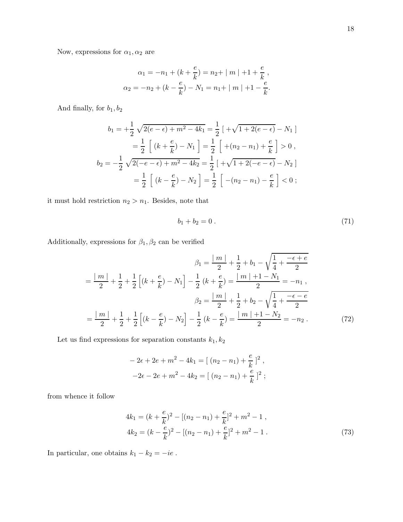$$
\alpha_1 = -n_1 + (k + \frac{e}{k}) = n_2 + |m| + 1 + \frac{e}{k},
$$
  

$$
\alpha_2 = -n_2 + (k - \frac{e}{k}) - N_1 = n_1 + |m| + 1 - \frac{e}{k}.
$$

And finally, for  $b_1, b_2$ 

$$
b_1 = +\frac{1}{2}\sqrt{2(e-\epsilon) + m^2 - 4k_1} = \frac{1}{2}\left[ \sqrt{1 + 2(e-\epsilon)} - N_1 \right]
$$
  

$$
= \frac{1}{2}\left[ (k + \frac{e}{k}) - N_1 \right] = \frac{1}{2}\left[ +(n_2 - n_1) + \frac{e}{k} \right] > 0,
$$
  

$$
b_2 = -\frac{1}{2}\sqrt{2(-e-\epsilon) + m^2 - 4k_2} = \frac{1}{2}\left[ +\sqrt{1 + 2(-e-\epsilon)} - N_2 \right]
$$
  

$$
= \frac{1}{2}\left[ (k - \frac{e}{k}) - N_2 \right] = \frac{1}{2}\left[ -(n_2 - n_1) - \frac{e}{k} \right] < 0;
$$

it must hold restriction  $n_2 > n_1.$  Besides, note that

$$
b_1 + b_2 = 0. \t\t(71)
$$

Additionally, expressions for  $\beta_1, \beta_2$  can be verified

$$
\beta_1 = \frac{|m|}{2} + \frac{1}{2} + b_1 - \sqrt{\frac{1}{4} + \frac{-\epsilon + e}{2}}
$$

$$
= \frac{|m|}{2} + \frac{1}{2} + \frac{1}{2} \left[ (k + \frac{e}{k}) - N_1 \right] - \frac{1}{2} (k + \frac{e}{k}) = \frac{|m| + 1 - N_1}{2} = -n_1,
$$

$$
\beta_2 = \frac{|m|}{2} + \frac{1}{2} + b_2 - \sqrt{\frac{1}{4} + \frac{-\epsilon - e}{2}}
$$

$$
= \frac{|m|}{2} + \frac{1}{2} + \frac{1}{2} \left[ (k - \frac{e}{k}) - N_2 \right] - \frac{1}{2} (k - \frac{e}{k}) = \frac{|m| + 1 - N_2}{2} = -n_2.
$$
(72)

Let us find expressions for separation constants  $k_1, k_2$ 

$$
-2\epsilon + 2e + m^{2} - 4k_{1} = [(n_{2} - n_{1}) + \frac{e}{k}]^{2},
$$
  

$$
-2\epsilon - 2e + m^{2} - 4k_{2} = [(n_{2} - n_{1}) + \frac{e}{k}]^{2};
$$

from whence it follow

$$
4k_1 = (k + \frac{e}{k})^2 - [(n_2 - n_1) + \frac{e}{k}]^2 + m^2 - 1,
$$
  
\n
$$
4k_2 = (k - \frac{e}{k})^2 - [(n_2 - n_1) + \frac{e}{k}]^2 + m^2 - 1.
$$
\n(73)

In particular, one obtains  $k_1 - k_2 = -ie$ .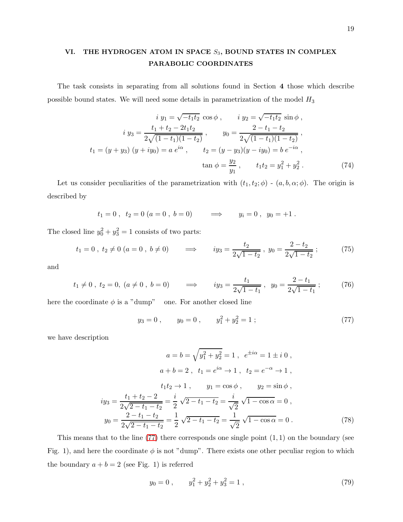## VI. THE HYDROGEN ATOM IN SPACE  $S_3$ , BOUND STATES IN COMPLEX PARABOLIC COORDINATES

The task consists in separating from all solutions found in Section 4 those which describe possible bound states. We will need some details in parametrization of the model  ${\cal H}_3$ 

$$
i y_1 = \sqrt{-t_1 t_2} \cos \phi , \qquad i y_2 = \sqrt{-t_1 t_2} \sin \phi ,
$$
  
\n
$$
i y_3 = \frac{t_1 + t_2 - 2t_1 t_2}{2\sqrt{(1 - t_1)(1 - t_2)}}, \qquad y_0 = \frac{2 - t_1 - t_2}{2\sqrt{(1 - t_1)(1 - t_2)}},
$$
  
\n
$$
t_1 = (y + y_3) (y + iy_0) = a e^{i\alpha} , \qquad t_2 = (y - y_3)(y - iy_0) = b e^{-i\alpha} ,
$$
  
\n
$$
\tan \phi = \frac{y_2}{y_1} , \qquad t_1 t_2 = y_1^2 + y_2^2 .
$$
\n(74)

Let us consider peculiarities of the parametrization with  $(t_1, t_2; \phi)$  -  $(a, b, \alpha; \phi)$ . The origin is described by

$$
t_1 = 0
$$
,  $t_2 = 0$  ( $a = 0$ ,  $b = 0$ )  $\implies$   $y_i = 0$ ,  $y_0 = +1$ .

The closed line  $y_0^2 + y_3^2 = 1$  consists of two parts:

$$
t_1 = 0
$$
,  $t_2 \neq 0$   $(a = 0, b \neq 0)$   $\implies$   $iy_3 = \frac{t_2}{2\sqrt{1 - t_2}}$ ,  $y_0 = \frac{2 - t_2}{2\sqrt{1 - t_2}}$ ; (75)

and

$$
t_1 \neq 0
$$
,  $t_2 = 0$ ,  $(a \neq 0, b = 0)$   $\implies$   $iy_3 = \frac{t_1}{2\sqrt{1 - t_1}}$ ,  $y_0 = \frac{2 - t_1}{2\sqrt{1 - t_1}}$ ; (76)

here the coordinate  $\phi$  is a "dump" one. For another closed line

<span id="page-18-1"></span><span id="page-18-0"></span>
$$
y_3 = 0
$$
,  $y_0 = 0$ ,  $y_1^2 + y_2^2 = 1$  ; (77)

we have description

$$
a = b = \sqrt{y_1^2 + y_2^2} = 1, \quad e^{\pm i\alpha} = 1 \pm i \, 0 \,,
$$
  
\n
$$
a + b = 2, \quad t_1 = e^{i\alpha} \to 1, \quad t_2 = e^{-\alpha} \to 1 \,,
$$
  
\n
$$
t_1 t_2 \to 1, \qquad y_1 = \cos \phi \,, \qquad y_2 = \sin \phi \,,
$$
  
\n
$$
iy_3 = \frac{t_1 + t_2 - 2}{2\sqrt{2 - t_1 - t_2}} = \frac{i}{2} \sqrt{2 - t_1 - t_2} = \frac{i}{\sqrt{2}} \sqrt{1 - \cos \alpha} = 0 \,,
$$
  
\n
$$
y_0 = \frac{2 - t_1 - t_2}{2\sqrt{2 - t_1 - t_2}} = \frac{1}{2} \sqrt{2 - t_1 - t_2} = \frac{1}{\sqrt{2}} \sqrt{1 - \cos \alpha} = 0 \,.
$$
 (78)

This means that to the line  $(77)$  there corresponds one single point  $(1, 1)$  on the boundary (see Fig. 1), and here the coordinate  $\phi$  is not "dump". There exists one other peculiar region to which the boundary  $a + b = 2$  (see Fig. 1) is referred

$$
y_0 = 0 \;, \t y_1^2 + y_2^2 + y_3^2 = 1 \;, \t(79)
$$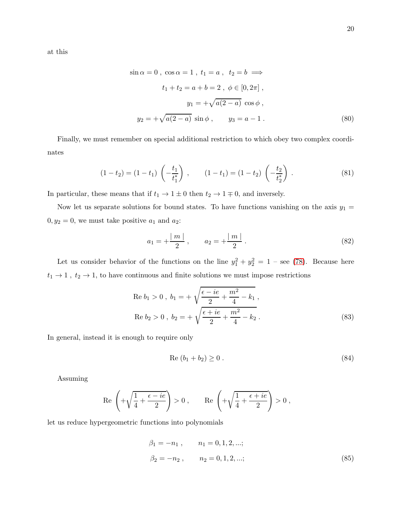at this

$$
\sin \alpha = 0, \cos \alpha = 1, t_1 = a, t_2 = b \implies
$$
  

$$
t_1 + t_2 = a + b = 2, \ \phi \in [0, 2\pi],
$$
  

$$
y_1 = +\sqrt{a(2 - a)} \cos \phi,
$$
  

$$
y_2 = +\sqrt{a(2 - a)} \sin \phi, \qquad y_3 = a - 1.
$$
 (80)

Finally, we must remember on special additional restriction to which obey two complex coordinates

$$
(1-t_2) = (1-t_1) \left( -\frac{t_1}{t_1^*} \right) , \qquad (1-t_1) = (1-t_2) \left( -\frac{t_2}{t_2^*} \right) . \tag{81}
$$

In particular, these means that if  $t_1 \to 1 \pm 0$  then  $t_2 \to 1 \mp 0,$  and inversely.

Now let us separate solutions for bound states. To have functions vanishing on the axis  $y_1 =$  $0, y_2 = 0$ , we must take positive  $a_1$  and  $a_2$ :

$$
a_1 = +\frac{|m|}{2}, \qquad a_2 = +\frac{|m|}{2}.
$$
 (82)

Let us consider behavior of the functions on the line  $y_1^2 + y_2^2 = 1$  – see [\(78\)](#page-18-1). Because here  $t_1 \rightarrow 1$  ,  $t_2 \rightarrow 1,$  to have continuous and finite solutions we must impose restrictions

Re 
$$
b_1 > 0
$$
,  $b_1 = +\sqrt{\frac{\epsilon - ie}{2} + \frac{m^2}{4} - k_1}$ ,  
Re  $b_2 > 0$ ,  $b_2 = +\sqrt{\frac{\epsilon + ie}{2} + \frac{m^2}{4} - k_2}$ . (83)

In general, instead it is enough to require only

$$
Re (b_1 + b_2) \ge 0.
$$
 (84)

Assuming

$$
\text{Re}\,\left(+\sqrt{\frac{1}{4}+\frac{\epsilon-i e}{2}}\right)>0\;, \qquad \text{Re}\,\left(+\sqrt{\frac{1}{4}+\frac{\epsilon+i e}{2}}\right)>0\;,
$$

let us reduce hypergeometric functions into polynomials

<span id="page-19-0"></span>
$$
\beta_1 = -n_1, \qquad n_1 = 0, 1, 2, \dots;
$$
  

$$
\beta_2 = -n_2, \qquad n_2 = 0, 1, 2, \dots;
$$
 (85)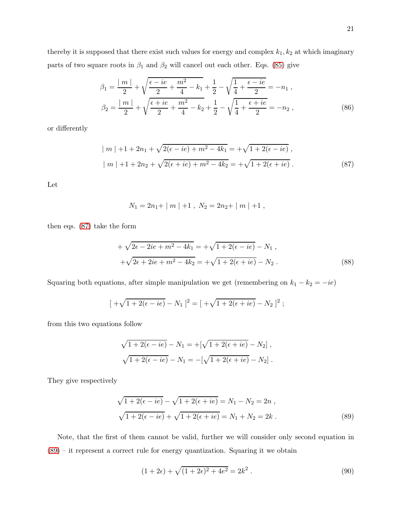$$
\beta_1 = \frac{|m|}{2} + \sqrt{\frac{\epsilon - ie}{2} + \frac{m^2}{4} - k_1} + \frac{1}{2} - \sqrt{\frac{1}{4} + \frac{\epsilon - ie}{2}} = -n_1 ,
$$
  

$$
\beta_2 = \frac{|m|}{2} + \sqrt{\frac{\epsilon + ie}{2} + \frac{m^2}{4} - k_2} + \frac{1}{2} - \sqrt{\frac{1}{4} + \frac{\epsilon + ie}{2}} = -n_2 ,
$$
 (86)

or differently

<span id="page-20-0"></span>
$$
|m| + 1 + 2n_1 + \sqrt{2(\epsilon - ie) + m^2 - 4k_1} = +\sqrt{1 + 2(\epsilon - ie)},
$$
  

$$
|m| + 1 + 2n_2 + \sqrt{2(\epsilon + ie) + m^2 - 4k_2} = +\sqrt{1 + 2(\epsilon + ie)}.
$$
 (87)

Let

$$
N_1 = 2n_1 + |m| + 1, N_2 = 2n_2 + |m| + 1,
$$

then eqs. [\(87\)](#page-20-0) take the form

+ 
$$
\sqrt{2\epsilon - 2ie + m^2 - 4k_1} = +\sqrt{1 + 2(\epsilon - ie)} - N_1,
$$
  
+  $\sqrt{2\epsilon + 2ie + m^2 - 4k_2} = +\sqrt{1 + 2(\epsilon + ie)} - N_2.$  (88)

Squaring both equations, after simple manipulation we get (remembering on  $k_1 - k_2 = -ie$ )

$$
[ +\sqrt{1+2(\epsilon - ie)} - N_1 ]^2 = [ +\sqrt{1+2(\epsilon + ie)} - N_2 ]^2 ;
$$

from this two equations follow

$$
\sqrt{1 + 2(\epsilon - ie)} - N_1 = +[\sqrt{1 + 2(\epsilon + ie)} - N_2],
$$
  

$$
\sqrt{1 + 2(\epsilon - ie)} - N_1 = -[\sqrt{1 + 2(\epsilon + ie)} - N_2].
$$

They give respectively

<span id="page-20-1"></span>
$$
\sqrt{1 + 2(\epsilon - ie)} - \sqrt{1 + 2(\epsilon + ie)} = N_1 - N_2 = 2n ,
$$
  

$$
\sqrt{1 + 2(\epsilon - ie)} + \sqrt{1 + 2(\epsilon + ie)} = N_1 + N_2 = 2k .
$$
 (89)

Note, that the first of them cannot be valid, further we will consider only second equation in [\(89\)](#page-20-1) – it represent a correct rule for energy quantization. Squaring it we obtain

$$
(1+2\epsilon) + \sqrt{(1+2\epsilon)^2 + 4e^2} = 2k^2.
$$
\n(90)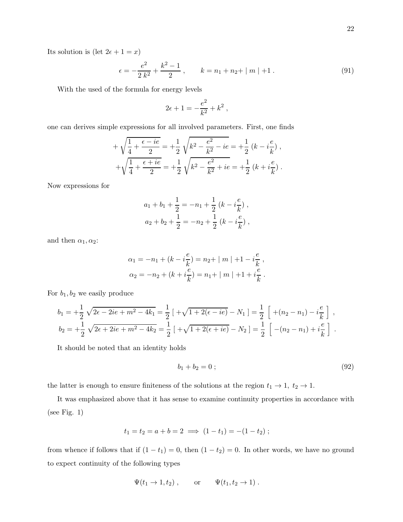Its solution is (let  $2\epsilon + 1 = x$ )

$$
\epsilon = -\frac{e^2}{2 k^2} + \frac{k^2 - 1}{2} , \qquad k = n_1 + n_2 + |m| + 1 . \tag{91}
$$

With the used of the formula for energy levels

$$
2\epsilon+1=-\frac{e^2}{k^2}+k^2\;,
$$

one can derives simple expressions for all involved parameters. First, one finds

$$
+\sqrt{\frac{1}{4} + \frac{\epsilon - ie}{2}} = +\frac{1}{2}\sqrt{k^2 - \frac{e^2}{k^2} - ie} = +\frac{1}{2}(k - i\frac{e}{k}),
$$
  

$$
+\sqrt{\frac{1}{4} + \frac{\epsilon + ie}{2}} = +\frac{1}{2}\sqrt{k^2 - \frac{e^2}{k^2} + ie} = +\frac{1}{2}(k + i\frac{e}{k}).
$$

Now expressions for

$$
a_1 + b_1 + \frac{1}{2} = -n_1 + \frac{1}{2} (k - i \frac{e}{k}),
$$
  

$$
a_2 + b_2 + \frac{1}{2} = -n_2 + \frac{1}{2} (k - i \frac{e}{k}),
$$

and then  $\alpha_1, \alpha_2$ :

$$
\alpha_1 = -n_1 + (k - i\frac{e}{k}) = n_2 + |m| + 1 - i\frac{e}{k},
$$
  

$$
\alpha_2 = -n_2 + (k + i\frac{e}{k}) = n_1 + |m| + 1 + i\frac{e}{k}.
$$

For  $b_1, b_2$  we easily produce

$$
b_1 = +\frac{1}{2} \sqrt{2\epsilon - 2ie + m^2 - 4k_1} = \frac{1}{2} \left[ \sqrt{1 + 2(\epsilon - ie)} - N_1 \right] = \frac{1}{2} \left[ \sqrt{1 + (n_2 - n_1) - i\frac{e}{k}} \right],
$$
  
\n
$$
b_2 = +\frac{1}{2} \sqrt{2\epsilon + 2ie + m^2 - 4k_2} = \frac{1}{2} \left[ \sqrt{1 + 2(\epsilon + ie)} - N_2 \right] = \frac{1}{2} \left[ -(n_2 - n_1) + i\frac{e}{k} \right].
$$

It should be noted that an identity holds

$$
b_1 + b_2 = 0 \tag{92}
$$

the latter is enough to ensure finiteness of the solutions at the region  $t_1 \rightarrow 1$ ,  $t_2 \rightarrow 1$ .

It was emphasized above that it has sense to examine continuity properties in accordance with (see Fig. 1)

$$
t_1 = t_2 = a + b = 2 \implies (1 - t_1) = -(1 - t_2);
$$

from whence if follows that if  $(1 - t_1) = 0$ , then  $(1 - t_2) = 0$ . In other words, we have no ground to expect continuity of the following types

$$
\Psi(t_1 \to 1, t_2)
$$
, or  $\Psi(t_1, t_2 \to 1)$ .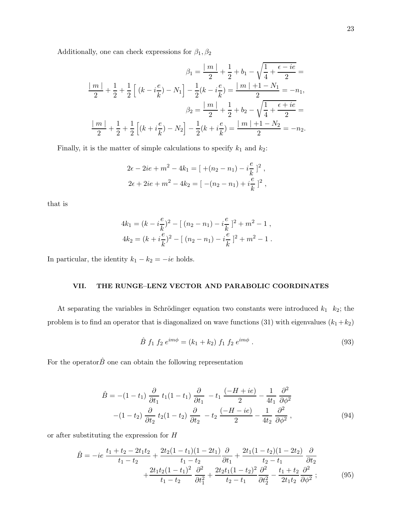Additionally, one can check expressions for  $\beta_1, \beta_2$ 

$$
\beta_1 = \frac{|m|}{2} + \frac{1}{2} + b_1 - \sqrt{\frac{1}{4} + \frac{\epsilon - ie}{2}} =
$$
  

$$
\frac{|m|}{2} + \frac{1}{2} + \frac{1}{2} \left[ (k - i\frac{e}{k}) - N_1 \right] - \frac{1}{2} (k - i\frac{e}{k}) = \frac{|m| + 1 - N_1}{2} = -n_1,
$$
  

$$
\beta_2 = \frac{|m|}{2} + \frac{1}{2} + b_2 - \sqrt{\frac{1}{4} + \frac{\epsilon + ie}{2}} =
$$
  

$$
\frac{|m|}{2} + \frac{1}{2} + \frac{1}{2} \left[ (k + i\frac{e}{k}) - N_2 \right] - \frac{1}{2} (k + i\frac{e}{k}) = \frac{|m| + 1 - N_2}{2} = -n_2.
$$

Finally, it is the matter of simple calculations to specify  $k_1$  and  $k_2$ :

$$
2\epsilon - 2ie + m^2 - 4k_1 = [ + (n_2 - n_1) - i\frac{e}{k} ]^2 ,
$$
  

$$
2\epsilon + 2ie + m^2 - 4k_2 = [ -(n_2 - n_1) + i\frac{e}{k} ]^2 ,
$$

that is

$$
4k_1 = (k - i\frac{e}{k})^2 - [(n_2 - n_1) - i\frac{e}{k}]^2 + m^2 - 1,
$$
  

$$
4k_2 = (k + i\frac{e}{k})^2 - [(n_2 - n_1) - i\frac{e}{k}]^2 + m^2 - 1.
$$

In particular, the identity  $k_1 - k_2 = -ie$  holds.

### VII. THE RUNGE–LENZ VECTOR AND PARABOLIC COORDINATES

At separating the variables in Schrödinger equation two constants were introduced  $k_1$  k<sub>2</sub>; the problem is to find an operator that is diagonalized on wave functions (31) with eigenvalues  $(k_1+k_2)$ 

$$
\hat{B} f_1 f_2 e^{im\phi} = (k_1 + k_2) f_1 f_2 e^{im\phi} . \tag{93}
$$

For the operator  $\hat{B}$  one can obtain the following representation

$$
\hat{B} = -(1 - t_1) \frac{\partial}{\partial t_1} t_1 (1 - t_1) \frac{\partial}{\partial t_1} - t_1 \frac{(-H + ie)}{2} - \frac{1}{4t_1} \frac{\partial^2}{\partial \phi^2}
$$

$$
-(1 - t_2) \frac{\partial}{\partial t_2} t_2 (1 - t_2) \frac{\partial}{\partial t_2} - t_2 \frac{(-H - ie)}{2} - \frac{1}{4t_2} \frac{\partial^2}{\partial \phi^2},
$$
(94)

or after substituting the expression for H

$$
\hat{B} = -ie \frac{t_1 + t_2 - 2t_1t_2}{t_1 - t_2} + \frac{2t_2(1 - t_1)(1 - 2t_1)}{t_1 - t_2} \frac{\partial}{\partial t_1} + \frac{2t_1(1 - t_2)(1 - 2t_2)}{t_2 - t_1} \frac{\partial}{\partial t_2} \n+ \frac{2t_1t_2(1 - t_1)^2}{t_1 - t_2} \frac{\partial^2}{\partial t_1^2} + \frac{2t_2t_1(1 - t_2)^2}{t_2 - t_1} \frac{\partial^2}{\partial t_2^2} - \frac{t_1 + t_2}{2t_1t_2} \frac{\partial^2}{\partial \phi^2} ;
$$
\n(95)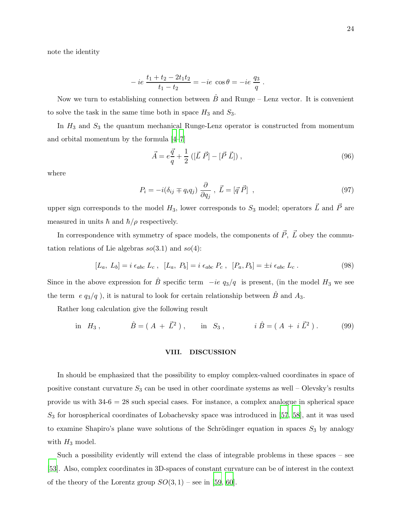note the identity

$$
-ie \frac{t_1+t_2-2t_1t_2}{t_1-t_2} = -ie \cos \theta = -ie \frac{q_3}{q}.
$$

Now we turn to establishing connection between  $\hat{B}$  and Runge – Lenz vector. It is convenient to solve the task in the same time both in space  $H_3$  and  $S_3$ .

In  $H_3$  and  $S_3$  the quantum mechanical Runge-Lenz operator is constructed from momentum and orbital momentum by the formula [\[4](#page-24-3)[–7\]](#page-24-6)

$$
\vec{A} = e\frac{\vec{q}}{q} + \frac{1}{2} \left( [\vec{L} \ \vec{P}] - [\vec{P} \ \vec{L}] \right),\tag{96}
$$

where

$$
P_i = -i(\delta_{ij} \mp q_i q_j) \frac{\partial}{\partial q_j}, \ \vec{L} = [\vec{q} \ \vec{P}] \ , \tag{97}
$$

upper sign corresponds to the model  $H_3$ , lower corresponds to  $S_3$  model; operators  $\vec{L}$  and  $\vec{P}$  are measured in units  $\hbar$  and  $\hbar/\rho$  respectively.

In correspondence with symmetry of space models, the components of  $\vec{P}$ ,  $\vec{L}$  obey the commutation relations of Lie algebras  $so(3.1)$  and  $so(4)$ :

$$
[L_a, L_b] = i \epsilon_{abc} L_c , [L_a, P_b] = i \epsilon_{abc} P_c , [P_a, P_b] = \pm i \epsilon_{abc} L_c .
$$
 (98)

Since in the above expression for B<sup>°</sup> specific term  $-ie\ q_3/q$  is present, (in the model H<sub>3</sub> we see the term e  $q_3/q$ , it is natural to look for certain relationship between  $\hat{B}$  and  $A_3$ .

Rather long calculation give the following result

in 
$$
H_3
$$
,  $\hat{B} = (A + \vec{L}^2)$ , in  $S_3$ ,  $i\hat{B} = (A + i\vec{L}^2)$ . (99)

#### VIII. DISCUSSION

In should be emphasized that the possibility to employ complex-valued coordinates in space of positive constant curvature  $S_3$  can be used in other coordinate systems as well – Olevsky's results provide us with  $34-6 = 28$  such special cases. For instance, a complex analogue in spherical space  $S_3$  for horospherical coordinates of Lobachevsky space was introduced in [\[57](#page-27-4), [58\]](#page-27-5), ant it was used to examine Shapiro's plane wave solutions of the Schrödinger equation in spaces  $S_3$  by analogy with  $H_3$  model.

Such a possibility evidently will extend the class of integrable problems in these spaces – see [\[53\]](#page-27-1). Also, complex coordinates in 3D-spaces of constant curvature can be of interest in the context of the theory of the Lorentz group  $SO(3,1)$  – see in [\[59,](#page-27-6) [60](#page-27-7)].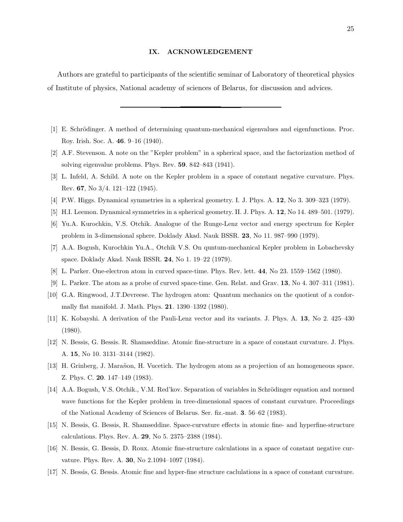#### IX. ACKNOWLEDGEMENT

Authors are grateful to participants of the scientific seminar of Laboratory of theoretical physics of Institute of physics, National academy of sciences of Belarus, for discussion and advices.

- <span id="page-24-0"></span>[1] E. Schrödinger. A method of determining quantum-mechanical eigenvalues and eigenfunctions. Proc. Roy. Irish. Soc. A. 46. 9–16 (1940).
- <span id="page-24-1"></span>[2] A.F. Stevenson. A note on the "Kepler problem" in a spherical space, and the factorization method of solving eigenvalue problems. Phys. Rev. 59. 842–843 (1941).
- <span id="page-24-2"></span>[3] L. Infeld, A. Schild. A note on the Kepler problem in a space of constant negative curvature. Phys. Rev. 67, No 3/4. 121–122 (1945).
- <span id="page-24-3"></span>[4] P.W. Higgs. Dynamical symmetries in a spherical geometry. I. J. Phys. A. 12, No 3. 309–323 (1979).
- <span id="page-24-4"></span>[5] H.I. Leemon. Dynamical symmetries in a spherical geometry. II. J. Phys. A. 12, No 14. 489–501. (1979).
- <span id="page-24-5"></span>[6] Yu.A. Kurochkin, V.S. Otchik. Analogue of the Runge-Lenz vector and energy spectrum for Kepler problem in 3-dimensional sphere. Doklady Akad. Nauk BSSR. 23, No 11. 987–990 (1979).
- <span id="page-24-6"></span>[7] A.A. Bogush, Kurochkin Yu.A., Otchik V.S. On quntum-mechanical Kepler problem in Lobachevsky space. Doklady Akad. Nauk BSSR. 24, No 1. 19–22 (1979).
- <span id="page-24-7"></span>[8] L. Parker. One-electron atom in curved space-time. Phys. Rev. lett. 44, No 23. 1559–1562 (1980).
- <span id="page-24-8"></span>[9] L. Parker. The atom as a probe of curved space-time. Gen. Relat. and Grav. 13, No 4. 307–311 (1981).
- <span id="page-24-9"></span>[10] G.A. Ringwood, J.T.Devreese. The hydrogen atom: Quantum mechanics on the quotient of a conformally flat manifold. J. Math. Phys. 21. 1390–1392 (1980).
- <span id="page-24-10"></span>[11] K. Kobayshi. A derivation of the Pauli-Lenz vector and its variants. J. Phys. A. 13, No 2. 425–430 (1980).
- <span id="page-24-11"></span>[12] N. Bessis, G. Bessis. R. Shamseddine. Atomic fine-structure in a space of constant curvature. J. Phys. A. 15, No 10. 3131–3144 (1982).
- <span id="page-24-12"></span>[13] H. Grinberg, J. Marañon, H. Vucetich. The hydrogen atom as a projection of an homogeneous space. Z. Phys. C. 20. 147–149 (1983).
- <span id="page-24-13"></span>[14] A.A. Bogush, V.S. Otchik., V.M. Red'kov. Separation of variables in Schrödinger equation and normed wave functions for the Kepler problem in tree-dimensional spaces of constant curvature. Proceedings of the National Academy of Sciences of Belarus. Ser. fiz.-mat. 3. 56–62 (1983).
- [15] N. Bessis, G. Bessis, R. Shamseddine. Space-curvature effects in atomic fine- and hyperfine-structure calculations. Phys. Rev. A. 29, No 5. 2375–2388 (1984).
- [16] N. Bessis, G. Bessis, D. Roux. Atomic fine-structure calculations in a space of constant negative curvature. Phys. Rev. A. 30, No 2.1094–1097 (1984).
- [17] N. Bessis, G. Bessis. Atomic fine and hyper-fine structure caclulations in a space of constant curvature.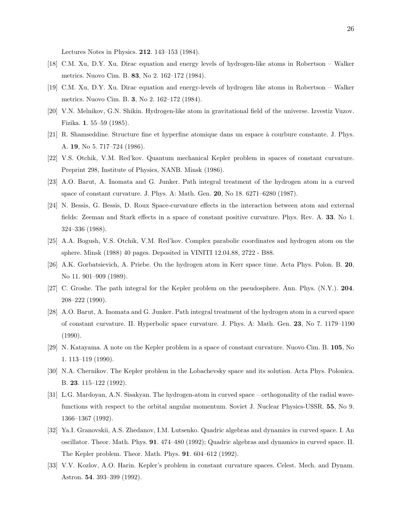Lectures Notes in Physics. 212. 143–153 (1984).

- <span id="page-25-0"></span>[18] C.M. Xu, D.Y. Xu. Dirac equation and energy levels of hydrogen-like atoms in Robertson – Walker metrics. Nuovo Cim. B. 83, No 2. 162–172 (1984).
- <span id="page-25-1"></span>[19] C.M. Xu, D.Y. Xu. Dirac equation and energy-levels of hydrogen like atoms in Robertson – Walker metrics. Nuovo Cim. B. 3, No 2. 162–172 (1984).
- <span id="page-25-2"></span>[20] V.N. Melnikov, G.N. Shikin. Hydrogen-like atom in gravitational field of the universe. Izvestiz Vuzov. Fizika. 1. 55–59 (1985).
- <span id="page-25-3"></span>[21] R. Shamseddine. Structure fine et hyperfine atomique dans un espace à courbure constante. J. Phys. A. 19, No 5. 717–724 (1986).
- <span id="page-25-4"></span>[22] V.S. Otchik, V.M. Red'kov. Quantum mechanical Kepler problem in spaces of constant curvature. Preprint 298, Institute of Physics, NANB. Minsk (1986).
- <span id="page-25-5"></span>[23] A.O. Barut, A. Inomata and G. Junker. Path integral treatment of the hydrogen atom in a curved space of constant curvature. J. Phys. A: Math. Gen. 20, No 18. 6271–6280 (1987).
- <span id="page-25-6"></span>[24] N. Bessis, G. Bessis, D. Roux Space-curvature effects in the interaction between atom and external fields: Zeeman and Stark effects in a space of constant positive curvature. Phys. Rev. A. 33, No 1. 324–336 (1988).
- <span id="page-25-7"></span>[25] A.A. Bogush, V.S. Otchik, V.M. Red'kov. Complex parabolic coordinates and hydrogen atom on the sphere. Minsk (1988) 40 pages. Deposited in VINITI 12.04.88, 2722 - B88.
- <span id="page-25-8"></span>[26] A.K. Gorbatsievich, A. Priebe. On the hydrogen atom in Kerr space time. Acta Phys. Polon. B. 20, No 11. 901–909 (1989).
- <span id="page-25-9"></span>[27] C. Groshe. The path integral for the Kepler problem on the pseudosphere. Ann. Phys. (N.Y.). 204. 208–222 (1990).
- <span id="page-25-10"></span>[28] A.O. Barut, A. Inomata and G. Junker. Path integral treatment of the hydrogen atom in a curved space of constant curvature. II. Hyperbolic space curvature. J. Phys. A: Math. Gen. 23, No 7. 1179–1190 (1990).
- <span id="page-25-11"></span>[29] N. Katayama. A note on the Kepler problem in a space of constant curvature. Nuovo Cim. B. 105, No 1. 113–119 (1990).
- <span id="page-25-12"></span>[30] N.A. Chernikov. The Kepler problem in the Lobachevsky space and its solution. Acta Phys. Polonica. B. 23. 115–122 (1992).
- <span id="page-25-13"></span>[31] L.G. Mardoyan, A.N. Sisakyan. The hydrogen-atom in curved space – orthogonality of the radial wavefunctions with respect to the orbital angular momentum. Soviet J. Nuclear Physics-USSR. 55, No 9. 1366–1367 (1992).
- <span id="page-25-14"></span>[32] Ya.I. Granovskii, A.S. Zhedanov, I.M. Lutsenko. Quadric algebras and dynamics in curved space. I. An oscillator. Theor. Math. Phys. 91. 474–480 (1992); Quadric algebras and dynamics in curved space. II. The Kepler problem. Theor. Math. Phys. 91. 604–612 (1992).
- <span id="page-25-15"></span>[33] V.V. Kozlov, A.O. Harin. Kepler's problem in constant curvature spaces. Celest. Mech. and Dynam. Astron. 54. 393–399 (1992).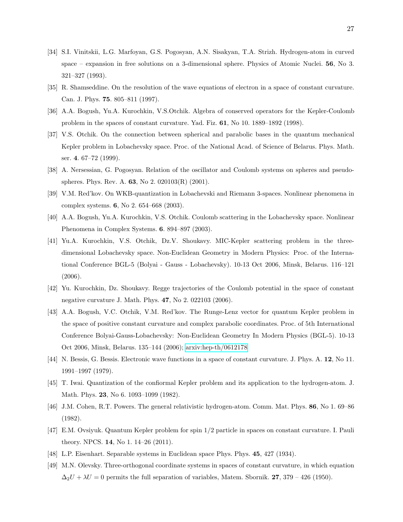- <span id="page-26-0"></span>[34] S.I. Vinitskii, L.G. Marfoyan, G.S. Pogosyan, A.N. Sisakyan, T.A. Strizh. Hydrogen-atom in curved space – expansion in free solutions on a 3-dimensional sphere. Physics of Atomic Nuclei. 56, No 3. 321–327 (1993).
- <span id="page-26-1"></span>[35] R. Shamseddine. On the resolution of the wave equations of electron in a space of constant curvature. Can. J. Phys. 75. 805–811 (1997).
- <span id="page-26-2"></span>[36] A.A. Bogush, Yu.A. Kurochkin, V.S.Otchik. Algebra of conserved operators for the Kepler-Coulomb problem in the spaces of constant curvature. Yad. Fiz. 61, No 10. 1889–1892 (1998).
- <span id="page-26-3"></span>[37] V.S. Otchik. On the connection between spherical and parabolic bases in the quantum mechanical Kepler problem in Lobachevsky space. Proc. of the National Acad. of Science of Belarus. Phys. Math. ser. 4. 67–72 (1999).
- <span id="page-26-4"></span>[38] A. Nersessian, G. Pogosyan. Relation of the oscillator and Coulomb systems on spheres and pseudospheres. Phys. Rev. A. 63, No 2. 020103(R) (2001).
- <span id="page-26-5"></span>[39] V.M. Red'kov. On WKB-quantization in Lobachevski and Riemann 3-spaces. Nonlinear phenomena in complex systems. 6, No 2. 654–668 (2003).
- <span id="page-26-6"></span>[40] A.A. Bogush, Yu.A. Kurochkin, V.S. Otchik. Coulomb scattering in the Lobachevsky space. Nonlinear Phenomena in Complex Systems. 6. 894–897 (2003).
- <span id="page-26-7"></span>[41] Yu.A. Kurochkin, V.S. Otchik, Dz.V. Shoukavy. MIC-Kepler scattering problem in the threedimensional Lobachevsky space. Non-Euclidean Geometry in Modern Physics: Proc. of the International Conference BGL-5 (Bolyai - Gauss - Lobachevsky). 10-13 Oct 2006, Minsk, Belarus. 116–121 (2006).
- [42] Yu. Kurochkin, Dz. Shoukavy. Regge trajectories of the Coulomb potential in the space of constant negative curvature J. Math. Phys. 47, No 2. 022103 (2006).
- <span id="page-26-8"></span>[43] A.A. Bogush, V.C. Otchik, V.M. Red'kov. The Runge-Lenz vector for quantum Kepler problem in the space of positive constant curvature and complex parabolic coordinates. Proc. of 5th International Conference Bolyai-Gauss-Lobachevsky: Non-Euclidean Geometry In Modern Physics (BGL-5). 10-13 Oct 2006, Minsk, Belarus. 135–144 (2006); [arxiv:hep-th/0612178.](http://arxiv.org/abs/hep-th/0612178)
- <span id="page-26-9"></span>[44] N. Bessis, G. Bessis. Electronic wave functions in a space of constant curvature. J. Phys. A. 12, No 11. 1991–1997 (1979).
- <span id="page-26-10"></span>[45] T. Iwai. Quantization of the confiormal Kepler problem and its application to the hydrogen-atom. J. Math. Phys. 23, No 6. 1093–1099 (1982).
- <span id="page-26-11"></span>[46] J.M. Cohen, R.T. Powers. The general relativistic hydrogen-atom. Comm. Mat. Phys. 86, No 1. 69–86 (1982).
- <span id="page-26-12"></span>[47] E.M. Ovsiyuk. Quantum Kepler problem for spin 1/2 particle in spaces on constant curvature. I. Pauli theory. NPCS. 14, No 1. 14–26 (2011).
- <span id="page-26-13"></span>[48] L.P. Eisenhart. Separable systems in Euclidean space Phys. Phys. 45, 427 (1934).
- <span id="page-26-14"></span>[49] M.N. Olevsky. Three-orthogonal coordinate systems in spaces of constant curvature, in which equation  $\Delta_2 U + \lambda U = 0$  permits the full separation of variables, Matem. Sbornik. 27, 379 – 426 (1950).